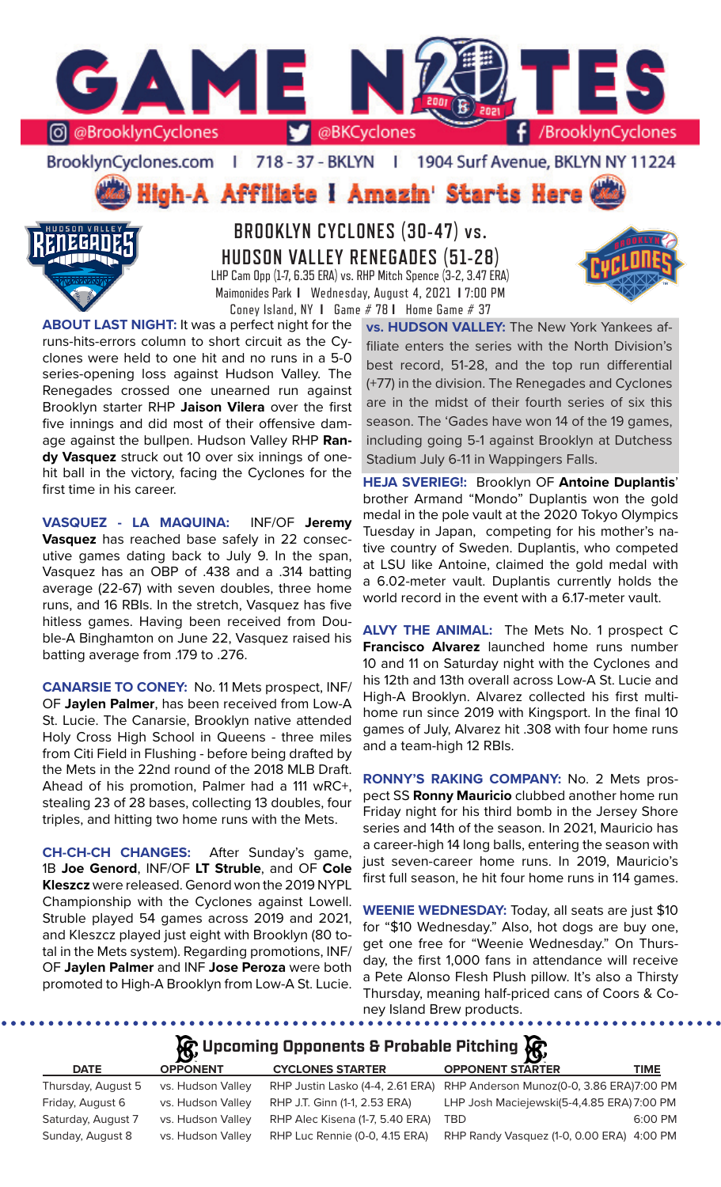

BrooklynCyclones.com | 718 - 37 - BKLYN - F 1904 Surf Avenue, BKLYN NY 11224

High-A Affiliate I Amazin' Starts Here



**BROOKLYN CYCLONES (30-47) vs. HUDSON VALLEY RENEGADES (51-28)** LHP Cam Opp (1-7, 6.35 ERA) vs. RHP Mitch Spence (3-2, 3.47 ERA) Maimonides Park **I** Wednesday, August 4, 2021 **I** 7:00 PM Coney Island, NY **I** Game # 78 **I** Home Game # 37

**ABOUT LAST NIGHT:** It was a perfect night for the runs-hits-errors column to short circuit as the Cyclones were held to one hit and no runs in a 5-0 series-opening loss against Hudson Valley. The Renegades crossed one unearned run against Brooklyn starter RHP **Jaison Vilera** over the first five innings and did most of their offensive damage against the bullpen. Hudson Valley RHP **Randy Vasquez** struck out 10 over six innings of onehit ball in the victory, facing the Cyclones for the first time in his career.

**VASQUEZ - LA MAQUINA:** INF/OF **Jeremy Vasquez** has reached base safely in 22 consecutive games dating back to July 9. In the span, Vasquez has an OBP of .438 and a .314 batting average (22-67) with seven doubles, three home runs, and 16 RBIs. In the stretch, Vasquez has five hitless games. Having been received from Double-A Binghamton on June 22, Vasquez raised his batting average from .179 to .276.

**CANARSIE TO CONEY:** No. 11 Mets prospect, INF/ OF **Jaylen Palmer**, has been received from Low-A St. Lucie. The Canarsie, Brooklyn native attended Holy Cross High School in Queens - three miles from Citi Field in Flushing - before being drafted by the Mets in the 22nd round of the 2018 MLB Draft. Ahead of his promotion, Palmer had a 111 wRC+, stealing 23 of 28 bases, collecting 13 doubles, four triples, and hitting two home runs with the Mets.

**CH-CH-CH CHANGES:** After Sunday's game, 1B **Joe Genord**, INF/OF **LT Struble**, and OF **Cole Kleszcz** were released. Genord won the 2019 NYPL Championship with the Cyclones against Lowell. Struble played 54 games across 2019 and 2021, and Kleszcz played just eight with Brooklyn (80 total in the Mets system). Regarding promotions, INF/ OF **Jaylen Palmer** and INF **Jose Peroza** were both promoted to High-A Brooklyn from Low-A St. Lucie. **vs. HUDSON VALLEY:** The New York Yankees affiliate enters the series with the North Division's best record, 51-28, and the top run differential (+77) in the division. The Renegades and Cyclones are in the midst of their fourth series of six this season. The 'Gades have won 14 of the 19 games, including going 5-1 against Brooklyn at Dutchess Stadium July 6-11 in Wappingers Falls.

**HEJA SVERIEG!:** Brooklyn OF **Antoine Duplantis**' brother Armand "Mondo" Duplantis won the gold medal in the pole vault at the 2020 Tokyo Olympics Tuesday in Japan, competing for his mother's native country of Sweden. Duplantis, who competed at LSU like Antoine, claimed the gold medal with a 6.02-meter vault. Duplantis currently holds the world record in the event with a 6.17-meter vault.

**ALVY THE ANIMAL:** The Mets No. 1 prospect C **Francisco Alvarez** launched home runs number 10 and 11 on Saturday night with the Cyclones and his 12th and 13th overall across Low-A St. Lucie and High-A Brooklyn. Alvarez collected his first multihome run since 2019 with Kingsport. In the final 10 games of July, Alvarez hit .308 with four home runs and a team-high 12 RBIs.

**RONNY'S RAKING COMPANY:** No. 2 Mets prospect SS **Ronny Mauricio** clubbed another home run Friday night for his third bomb in the Jersey Shore series and 14th of the season. In 2021, Mauricio has a career-high 14 long balls, entering the season with just seven-career home runs. In 2019, Mauricio's first full season, he hit four home runs in 114 games.

**WEENIE WEDNESDAY:** Today, all seats are just \$10 for "\$10 Wednesday." Also, hot dogs are buy one, get one free for "Weenie Wednesday." On Thursday, the first 1,000 fans in attendance will receive a Pete Alonso Flesh Plush pillow. It's also a Thirsty Thursday, meaning half-priced cans of Coors & Coney Island Brew products.

. . . . . . . . . . . . .

# **A** Upcoming Opponents & Probable Pitching

| <b>DATE</b>        | <b>OPPONENT</b>   | <b>CYCLONES STARTER</b>         | <b>OPPONENT STARTER</b>                                                   | TIME    |
|--------------------|-------------------|---------------------------------|---------------------------------------------------------------------------|---------|
| Thursday, August 5 | vs. Hudson Valley |                                 | RHP Justin Lasko (4-4, 2.61 ERA) RHP Anderson Munoz(0-0, 3.86 ERA)7:00 PM |         |
| Friday, August 6   | vs. Hudson Valley | RHP J.T. Ginn (1-1, 2.53 ERA)   | LHP Josh Maciejewski(5-4,4.85 ERA) 7:00 PM                                |         |
| Saturday, August 7 | vs. Hudson Valley | RHP Alec Kisena (1-7, 5.40 ERA) | TRD.                                                                      | 6:00 PM |
| Sunday, August 8   | vs. Hudson Valley | RHP Luc Rennie (0-0, 4.15 ERA)  | RHP Randy Vasquez (1-0, 0.00 ERA) 4:00 PM                                 |         |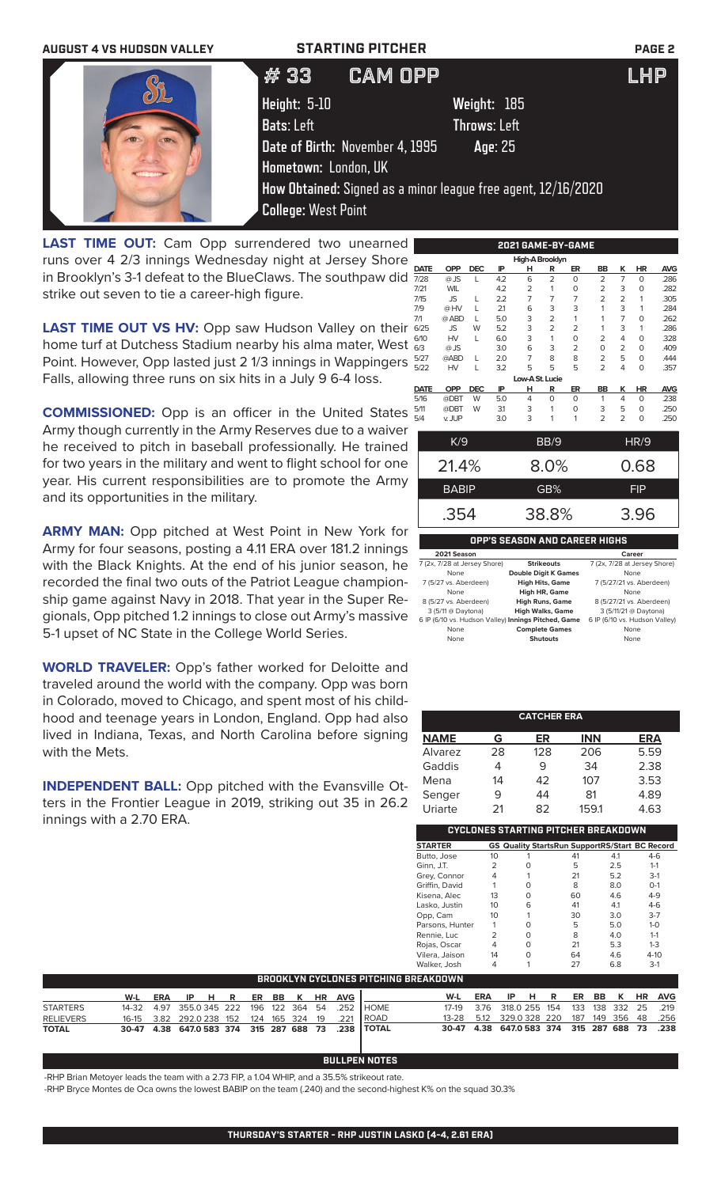

LAST TIME OUT: Cam Opp surrendered two unearned runs over 4 2/3 innings Wednesday night at Jersey Shore in Brooklyn's 3-1 defeat to the BlueClaws. The southpaw did strike out seven to tie a career-high figure.

**LAST TIME OUT VS HV:** Opp saw Hudson Valley on their home turf at Dutchess Stadium nearby his alma mater, West Point. However, Opp lasted just 2 1/3 innings in Wappingers Falls, allowing three runs on six hits in a July 9 6-4 loss.

**COMMISSIONED:** Opp is an officer in the United States Army though currently in the Army Reserves due to a waiver he received to pitch in baseball professionally. He trained for two years in the military and went to flight school for one year. His current responsibilities are to promote the Army and its opportunities in the military.

**ARMY MAN:** Opp pitched at West Point in New York for Army for four seasons, posting a 4.11 ERA over 181.2 innings with the Black Knights. At the end of his junior season, he recorded the final two outs of the Patriot League championship game against Navy in 2018. That year in the Super Regionals, Opp pitched 1.2 innings to close out Army's massive 5-1 upset of NC State in the College World Series.

**WORLD TRAVELER:** Opp's father worked for Deloitte and traveled around the world with the company. Opp was born in Colorado, moved to Chicago, and spent most of his childhood and teenage years in London, England. Opp had also lived in Indiana, Texas, and North Carolina before signing with the Mets.

**INDEPENDENT BALL:** Opp pitched with the Evansville Otters in the Frontier League in 2019, striking out 35 in 26.2 innings with a 2.70 ERA.

| 2021 GAME-BY-GAME   |            |            |     |                 |                |                |                |                |          |            |  |
|---------------------|------------|------------|-----|-----------------|----------------|----------------|----------------|----------------|----------|------------|--|
| High-A Brooklyn     |            |            |     |                 |                |                |                |                |          |            |  |
| <b>DATE</b>         | <b>OPP</b> | <b>DEC</b> | IP  | н               | R              | ER             | <b>BB</b>      | ĸ              | HR       | <b>AVG</b> |  |
| 7/28                | @ JS       | L          | 4.2 | 6               | $\overline{2}$ | $\Omega$       | $\overline{2}$ | 7              | 0        | .286       |  |
| 7/21                | <b>WIL</b> |            | 4.2 | 2               | 1              | 0              | $\overline{2}$ | 3              | 0        | .282       |  |
| 7/15                | JS         | L          | 2.2 | 7               | 7              | $\overline{7}$ | $\overline{2}$ | $\overline{2}$ | 1        | .305       |  |
| 7/9                 | @HV        | L          | 21  | 6               | 3              | 3              | 1              | 3              | 1        | .284       |  |
| 7/1                 | @ ABD      | L          | 5.0 | 3               | $\overline{2}$ | $\mathbf{1}$   | 1              | 7              | $\Omega$ | .262       |  |
| 6/25                | JS         | W          | 5.2 | 3               | $\overline{2}$ | $\overline{2}$ | 1              | 3              | 1        | .286       |  |
| 6/10                | HV         | L          | 6.0 | 3               | 1              | 0              | $\overline{2}$ | 4              | 0        | .328       |  |
| 6/3                 | @ JS       |            | 3.0 | 6               | 3              | $\overline{2}$ | 0              | $\overline{2}$ | $\Omega$ | .409       |  |
| 5/27                | @ABD       | L          | 2.0 | 7               | 8              | 8              | $\overline{2}$ | 5              | $\Omega$ | .444       |  |
| 5/22                | HV         | L          | 3.2 | 5               | 5              | 5              | $\overline{2}$ | 4              | 0        | .357       |  |
|                     |            |            |     | Low-A St. Lucie |                |                |                |                |          |            |  |
| <b>DATE</b>         | <b>OPP</b> | <b>DEC</b> | IP  | н               | R              | ER             | BB             | ĸ              | HR       | <b>AVG</b> |  |
| 5/16                | @DBT       | W          | 5.0 | 4               | O              | $\Omega$       | 1              | 4              | 0        | .238       |  |
| 5/11                | @DBT       | W          | 31  | 3               | 1              | 0              | 3              | 5              | $\Omega$ | .250       |  |
| 5/4                 | v. JUP     |            | 3.0 | 3               | 1              | 1              | $\overline{2}$ | $\overline{2}$ | 0        | .250       |  |
| K/9<br>HR/9<br>BB/9 |            |            |     |                 |                |                |                |                |          |            |  |

| IVJ          | <b>DD</b> J | . <i>. .</i> |
|--------------|-------------|--------------|
| 21.4%        | 8.0%        | 0.68         |
| <b>BABIP</b> | GB%         | <b>FIP</b>   |
| .354         | 38.8%       | 3.96         |

## **OPP'S SEASON AND CAREER HIGHS**

| 2021 Season                                         |                             | Career                        |
|-----------------------------------------------------|-----------------------------|-------------------------------|
| 7 (2x, 7/28 at Jersey Shore)                        | <b>Strikeouts</b>           | 7 (2x, 7/28 at Jersey Shore)  |
| None                                                | <b>Double Digit K Games</b> | None                          |
| 7 (5/27 vs. Aberdeen)                               | <b>High Hits, Game</b>      | 7 (5/27/21 vs. Aberdeen)      |
| None                                                | <b>High HR, Game</b>        | None                          |
| 8 (5/27 vs. Aberdeen)                               | <b>High Runs, Game</b>      | 8 (5/27/21 vs. Aberdeen)      |
| 3 (5/11 @ Daytona)                                  | <b>High Walks, Game</b>     | 3 (5/11/21 @ Daytona)         |
| 6 IP (6/10 vs. Hudson Valley) Innings Pitched, Game |                             | 6 IP (6/10 vs. Hudson Valley) |
| None                                                | <b>Complete Games</b>       | None                          |
| None                                                | <b>Shutouts</b>             | None                          |
|                                                     |                             |                               |

| <b>CATCHER ERA</b> |    |     |            |      |  |  |  |  |
|--------------------|----|-----|------------|------|--|--|--|--|
| <b>NAME</b>        | G  | ER  | <b>INN</b> | ERA  |  |  |  |  |
| Alvarez            | 28 | 128 | 206        | 5.59 |  |  |  |  |
| Gaddis             |    | 9   | 34         | 2.38 |  |  |  |  |
| Mena               | 14 | 42  | 107        | 3.53 |  |  |  |  |
| Senger             | 9  | 44  | 81         | 4.89 |  |  |  |  |
| Uriarte            | 21 | 82  | 159.1      | 4.63 |  |  |  |  |

|                           |    |   | CYCLONES STARTING PITCHER BREAKDOWN                   |     |          |
|---------------------------|----|---|-------------------------------------------------------|-----|----------|
| <b>STARTER</b>            |    |   | <b>GS Quality StartsRun SupportRS/Start BC Record</b> |     |          |
| Butto, Jose               | 10 |   | 41                                                    | 4.1 | $4-6$    |
| Ginn, J.T.                | 2  | 0 | 5                                                     | 2.5 | $1 - 1$  |
| Grey, Connor              | 4  |   | 21                                                    | 5.2 | $3-1$    |
| Griffin, David            |    | ∩ | 8                                                     | 8.0 | $O-1$    |
| Kisena, Alec              | 13 | ∩ | 60                                                    | 4.6 | $4 - 9$  |
| Lasko, Justin             | 10 | 6 | 41                                                    | 4.1 | $4-6$    |
| Opp, Cam                  | 10 |   | 30                                                    | 3.0 | $3 - 7$  |
| Parsons, Hunter           |    | O | 5                                                     | 5.0 | $1 - 0$  |
| Rennie, Luc               | 2  | O | 8                                                     | 4.0 | $1 - 1$  |
| Rojas, Oscar              | 4  | ∩ | 21                                                    | 5.3 | $1 - 3$  |
| Vilera, Jaison            | 14 | O | 64                                                    | 4.6 | $4 - 10$ |
| Walker, Josh<br>--------- |    |   | 27                                                    | 6.8 | $3-1$    |

|                  | ' BROOKLYN CYCLONES PITCHING BREAKDOWN . |  |  |  |  |  |  |  |  |                         |                                                             |                                              |                               |  |  |  |  |
|------------------|------------------------------------------|--|--|--|--|--|--|--|--|-------------------------|-------------------------------------------------------------|----------------------------------------------|-------------------------------|--|--|--|--|
|                  |                                          |  |  |  |  |  |  |  |  |                         |                                                             |                                              |                               |  |  |  |  |
|                  | W-L                                      |  |  |  |  |  |  |  |  | ERA IP HR ER BB KHR AVG |                                                             |                                              | W-L ERA IP H R ER BB K HR AVG |  |  |  |  |
| <b>STARTERS</b>  |                                          |  |  |  |  |  |  |  |  |                         | 14-32  4.97  355.0  345  222  196  122  364  54  .252  HOME | 17-19 3.76 318.0 255 154 133 138 332 25 .219 |                               |  |  |  |  |
| <b>RELIEVERS</b> |                                          |  |  |  |  |  |  |  |  |                         | 16-15 3.82 292.0 238 152 124 165 324 19 .221 ROAD           | 13-28 5.12 329.0 328 220 187 149 356 48 .256 |                               |  |  |  |  |
| <b>TOTAL</b>     |                                          |  |  |  |  |  |  |  |  |                         | 30-47 4.38 647.0 583 374 315 287 688 73 .238 TOTAL          | 30-47 4.38 647.0 583 374 315 287 688 73 .238 |                               |  |  |  |  |

## **BULLPEN NOTES**

-RHP Brian Metoyer leads the team with a 2.73 FIP, a 1.04 WHIP, and a 35.5% strikeout rate.

-RHP Bryce Montes de Oca owns the lowest BABIP on the team (.240) and the second-highest K% on the squad 30.3%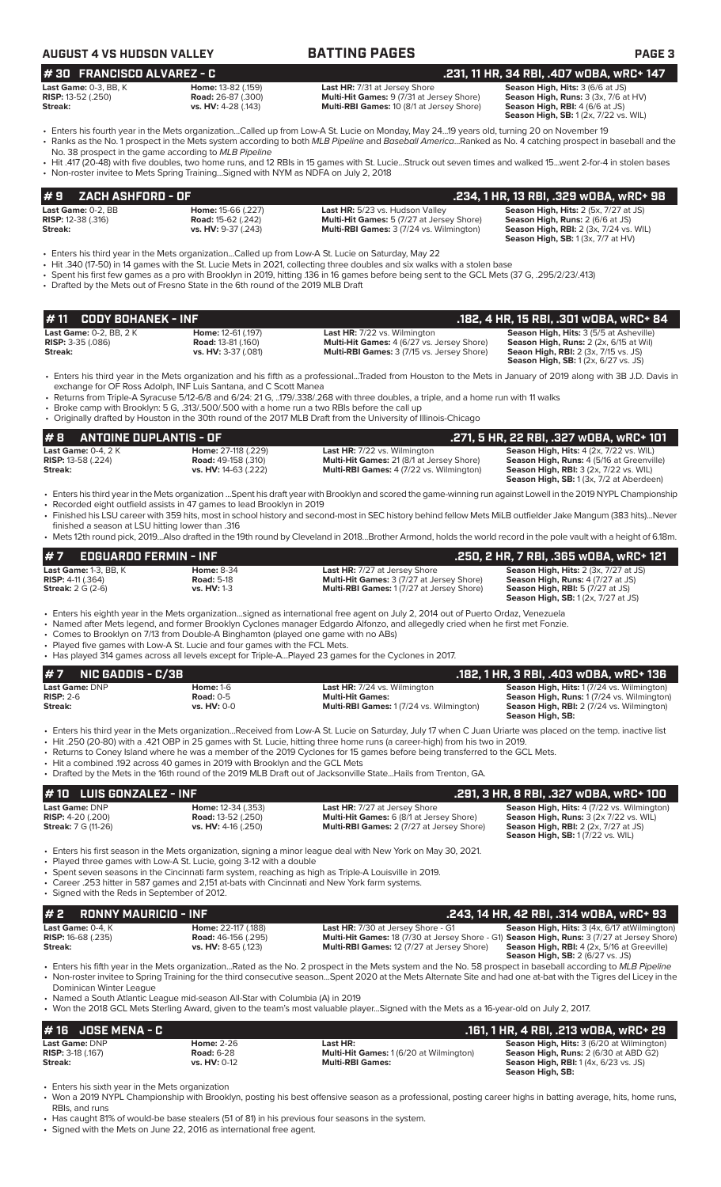| AUGUST 4 VS HUDSON VALLEY    | <b>BATTING PAGES</b> | <b>PAGE 3</b>                      |
|------------------------------|----------------------|------------------------------------|
| $H$ 30 FRANCISCO ALVAREZ - C |                      | 231 11 HD 34 DRI 407 WORA WPC+ 147 |

| $\pi$ och inanciclos alvance to |                                |
|---------------------------------|--------------------------------|
| <b>Last Game:</b> 0-3. BB. K    | <b>Home: 13-82 (.159)</b>      |
| <b>RISP:</b> 13-52 (.250)       | <b>Road: 26-87 (.300)</b>      |
| Straalu.                        | $ve$ $H(V \cdot A - 28 / 142)$ |

**Last HR:** 7/31 at Jersey Shore **Season High, Hits:** 3 (6/6 at JS)<br> **Multi-Hit Games:** 9 (7/31 at Jersey Shore) **Season High, Runs:** 3 (3x, 7/6 a **vs. HV:** 4-28 (.143) **Multi-RBI Games:** 10 (8/1 at Jersey Shore)

**Season High, Runs: 3 (3x, 7/6 at HV) Season High, RBI:** 4 (6/6 at JS)<br>**Season High, RBI:** 4 (6/6 at JS)<br>**Season High, SB:** 1 (2x, 7/22 vs. WIL) **# 30 FRANCISCO ALVAREZ - C .231, 11 HR, 34 RBI, .407 wOBA, wRC+ 147**

- Enters his fourth year in the Mets organization...Called up from Low-A St. Lucie on Monday, May 24...19 years old, turning 20 on November 19 • Ranks as the No. 1 prospect in the Mets system according to both *MLB Pipeline* and *Baseball America*...Ranked as No. 4 catching prospect in baseball and the
- No. 38 prospect in the game according to *MLB Pipeline* • Hit .417 (20-48) with five doubles, two home runs, and 12 RBIs in 15 games with St. Lucie...Struck out seven times and walked 15...went 2-for-4 in stolen bases
- Non-roster invitee to Mets Spring Training...Signed with NYM as NDFA on July 2, 2018

| $# 9$ ZACH ASHFORD - OF     |                           |                                                  | .234. 1 HR. 13 RBI. .329 wOBA. wRC+ 98        |
|-----------------------------|---------------------------|--------------------------------------------------|-----------------------------------------------|
| Last Game: 0-2. BB          | <b>Home: 15-66 (.227)</b> | Last HR: 5/23 vs. Hudson Valley                  | <b>Season High, Hits: 2 (5x, 7/27 at JS)</b>  |
| <b>RISP:</b> 12-38 $(.316)$ | <b>Road:</b> 15-62 (.242) | <b>Multi-Hit Games:</b> 5 (7/27 at Jersey Shore) | <b>Season High, Runs: 2 (6/6 at JS)</b>       |
| Streak:                     | vs. HV: 9-37 (.243)       | <b>Multi-RBI Games: 3 (7/24 vs. Wilmington)</b>  | <b>Season High, RBI:</b> 2 (3x, 7/24 vs. WIL) |
|                             |                           |                                                  | <b>Season High, SB: 1 (3x, 7/7 at HV)</b>     |

- Enters his third year in the Mets organization...Called up from Low-A St. Lucie on Saturday, May 22
- Hit .340 (17-50) in 14 games with the St. Lucie Mets in 2021, collecting three doubles and six walks with a stolen base
- Spent his first few games as a pro with Brooklyn in 2019, hitting .136 in 16 games before being sent to the GCL Mets (37 G, .295/2/23/.413)
- Drafted by the Mets out of Fresno State in the 6th round of the 2019 MLB Draft

| #11 CODY BOHANEK - INF         |                           |                                                   | .182, 4 HR, 15 RBI, .301 wOBA, wRC+ 84         |
|--------------------------------|---------------------------|---------------------------------------------------|------------------------------------------------|
| <b>Last Game: 0-2. BB. 2 K</b> | <b>Home: 12-61 (.197)</b> | <b>Last HR:</b> 7/22 vs. Wilmington               | <b>Season High, Hits: 3 (5/5 at Asheville)</b> |
| <b>RISP:</b> $3-35$ (.086)     | <b>Road: 13-81 (.160)</b> | <b>Multi-Hit Games: 4 (6/27 vs. Jersey Shore)</b> | <b>Season High, Runs:</b> 2 (2x, 6/15 at Wil)  |
| Streak:                        | vs. HV: 3-37 (.081)       | <b>Multi-RBI Games: 3 (7/15 vs. Jersey Shore)</b> | <b>Seaon High, RBI:</b> 2 (3x, 7/15 vs. JS)    |
|                                |                           |                                                   | <b>Season High, SB:</b> 1 (2x, 6/27 vs. JS)    |

- Enters his third year in the Mets organization and his fifth as a professional...Traded from Houston to the Mets in January of 2019 along with 3B J.D. Davis in exchange for OF Ross Adolph, INF Luis Santana, and C Scott Manea
- Returns from Triple-A Syracuse 5/12-6/8 and 6/24: 21 G, ..179/.338/.268 with three doubles, a triple, and a home run with 11 walks
- Broke camp with Brooklyn: 5 G, .313/.500/.500 with a home run a two RBIs before the call up
- Originally drafted by Houston in the 30th round of the 2017 MLB Draft from the University of Illinois-Chicago

### **# 8 ANTOINE DUPLANTIS - OF .271, 5 HR, 22 RBI, .327 wOBA, wRC+ 101 Last Game:** 0-4, 2 K **Home:** 27-118 (.229) **Last HR:** 7/22 vs. Wilmington **Season High, Hits:** 4 (2x, 7/22 vs. WIL) **RISP:** 13-58 (.224) **Road:** 49-158 (.310) **Multi-Hit Games:** 21 (8/1 at Jersey Shore) **Season High, Runs:** 4 (5/16 at Greenville) **Streak: vs. HV:** 14-63 (.222) **Multi-RBI Games:** 4 (7/22 vs. Wilmington) **Season High, RBI:** 3 (2x, 7/22 vs. WIL)<br>**Season High, RBI:** 3 (2x, 7/22 vs. WIL)<br>**Season High, SB:** 1 (3x, 7/2 at Aberdeen)

- Enters his third year in the Mets organization ...Spent his draft year with Brooklyn and scored the game-winning run against Lowell in the 2019 NYPL Championship • Recorded eight outfield assists in 47 games to lead Brooklyn in 2019
- Finished his LSU career with 359 hits, most in school history and second-most in SEC history behind fellow Mets MiLB outfielder Jake Mangum (383 hits)...Never
- finished a season at LSU hitting lower than .316 • Mets 12th round pick, 2019...Also drafted in the 19th round by Cleveland in 2018...Brother Armond, holds the world record in the pole vault with a height of 6.18m.

| $#7$ EDGUARDO FERMIN - INF   |                    |                                                  | .250, 2 HR, 7 RBI, .365 wOBA, wRC+ 121       |
|------------------------------|--------------------|--------------------------------------------------|----------------------------------------------|
| <b>Last Game:</b> 1-3. BB. K | <b>Home: 8-34</b>  | <b>Last HR:</b> 7/27 at Jersey Shore             | <b>Season High, Hits: 2 (3x, 7/27 at JS)</b> |
| <b>RISP:</b> 4-11 (.364)     | <b>Road: 5-18</b>  | <b>Multi-Hit Games: 3 (7/27 at Jersey Shore)</b> | <b>Season High, Runs: 4 (7/27 at JS)</b>     |
| <b>Streak:</b> 2 G (2-6)     | <b>vs. HV: 1-3</b> | <b>Multi-RBI Games: 1(7/27 at Jersey Shore)</b>  | <b>Season High, RBI:</b> 5 (7/27 at JS)      |
|                              |                    |                                                  | <b>Season High, SB:</b> 1 (2x, 7/27 at JS)   |

• Enters his eighth year in the Mets organization...signed as international free agent on July 2, 2014 out of Puerto Ordaz, Venezuela

- Named after Mets legend, and former Brooklyn Cyclones manager Edgardo Alfonzo, and allegedly cried when he first met Fonzie.
- Comes to Brooklyn on 7/13 from Double-A Binghamton (played one game with no ABs)
- Played five games with Low-A St. Lucie and four games with the FCL Mets.
- Has played 314 games across all levels except for Triple-A...Played 23 games for the Cyclones in 2017.

| $#7$ NIC GADDIS - C/3B |                  |                                                                                                                                                             | .182, 1 HR, 3 RBI, .403 w0BA, wRC+ 136                               |
|------------------------|------------------|-------------------------------------------------------------------------------------------------------------------------------------------------------------|----------------------------------------------------------------------|
| <b>Last Game: DNP</b>  | <b>Home: 1-6</b> | <b>Last HR:</b> 7/24 vs. Wilmington                                                                                                                         | <b>Season High, Hits: 1(7/24 vs. Wilmington)</b>                     |
| $RISP: 2-6$            | Road: $0-5$      | <b>Multi-Hit Games:</b>                                                                                                                                     | <b>Season High, Runs: 1(7/24 vs. Wilmington)</b>                     |
| Streak:                | $vs. HV: 0-0$    | <b>Multi-RBI Games: 1(7/24 vs. Wilmington)</b>                                                                                                              | <b>Season High, RBI:</b> 2 (7/24 vs. Wilmington)<br>Season High, SB: |
|                        |                  | • Enters his third year in the Mets organization Received from Low-A St Lucie on Saturday July 17 when C Juan Uriarte was placed on the temp, inactive list |                                                                      |

- Enters his third year in the Mets organization...Received from Low-A St. Lucie on Saturday, July 17 when C Juan Uriarte was placed on the temp. inactive list • Hit .250 (20-80) with a .421 OBP in 25 games with St. Lucie, hitting three home runs (a career-high) from his two in 2019.
- Returns to Coney Island where he was a member of the 2019 Cyclones for 15 games before being transferred to the GCL Mets.
- Hit a combined .192 across 40 games in 2019 with Brooklyn and the GCL Mets
- Drafted by the Mets in the 16th round of the 2019 MLB Draft out of Jacksonville State...Hails from Trenton, GA.

| $# 10$ LUIS GONZALEZ - INF                                                 |                                                                               |                                                                                                                                      | .291. 3 HR. 8 RBI. .327 wOBA. wRC+ 100                                                                                                                                          |
|----------------------------------------------------------------------------|-------------------------------------------------------------------------------|--------------------------------------------------------------------------------------------------------------------------------------|---------------------------------------------------------------------------------------------------------------------------------------------------------------------------------|
| Last Game: DNP<br><b>RISP:</b> $4-20$ (.200)<br><b>Streak:</b> 7 G (11-26) | <b>Home: 12-34 (.353)</b><br><b>Road: 13-52 (.250)</b><br>vs. HV: 4-16 (.250) | <b>Last HR:</b> 7/27 at Jersey Shore<br>Multi-Hit Games: 6 (8/1 at Jersey Shore)<br><b>Multi-RBI Games: 2 (7/27 at Jersey Shore)</b> | <b>Season High, Hits: 4 (7/22 vs. Wilmington)</b><br>Season High, Runs: 3 (2x 7/22 vs. WIL)<br><b>Season High, RBI:</b> 2 (2x, 7/27 at JS)<br>Season High, SB: 1 (7/22 vs. WIL) |
|                                                                            |                                                                               | • Enters his first season in the Mets organization, signing a minor league deal with New York on May 30, 2021.                       |                                                                                                                                                                                 |

- Played three games with Low-A St. Lucie, going 3-12 with a double
- Spent seven seasons in the Cincinnati farm system, reaching as high as Triple-A Louisville in 2019. • Career .253 hitter in 587 games and 2,151 at-bats with Cincinnati and New York farm systems.
- Signed with the Reds in September of 2012.

| #2<br>RONNY MAURICIO - INF |                            | .243. 14 HR. 42 RBI. .314 WOBA. wRC+ 93                                                                                                                       |
|----------------------------|----------------------------|---------------------------------------------------------------------------------------------------------------------------------------------------------------|
| Last Game: 0-4, K          | Home: 22-117 (.188)        | <b>Season High, Hits:</b> 3 (4x, 6/17 at Wilmington)<br><b>Last HR:</b> 7/30 at Jersey Shore - G1                                                             |
| <b>RISP:</b> 16-68 (.235)  | <b>Road: 46-156 (.295)</b> | Multi-Hit Games: 18 (7/30 at Jersey Shore - G1) Season High, Runs: 3 (7/27 at Jersey Shore)                                                                   |
| Streak:                    | <b>vs. HV:</b> 8-65 (.123) | <b>Multi-RBI Games: 12 (7/27 at Jersey Shore)</b><br><b>Season High, RBI:</b> 4 (2x, 5/16 at Greeville)                                                       |
|                            |                            | <b>Season High, SB: 2 (6/27 vs. JS)</b>                                                                                                                       |
|                            |                            | . Enters his fifth year in the Mets organization Pated as the No. 2 prospect in the Mets system and the No. 58 prospect in baseball according to MLR Pineline |

- Enters his fifth year in the Mets organization...Rated as the No. 2 prospect in the Mets system and the No. 58 prospect in baseball according to *MLB Pipeline* • Non-roster invitee to Spring Training for the third consecutive season...Spent 2020 at the Mets Alternate Site and had one at-bat with the Tigres del Licey in the Dominican Winter League
- Named a South Atlantic League mid-season All-Star with Columbia (A) in 2019
- Won the 2018 GCL Mets Sterling Award, given to the team's most valuable player...Signed with the Mets as a 16-year-old on July 2, 2017.

| # 16 JOSE MENA - C       |                   |                                               | .161, 1 HR, 4 RBI, .213 wOBA, wRC+ 29                 |
|--------------------------|-------------------|-----------------------------------------------|-------------------------------------------------------|
| <b>Last Game: DNP</b>    | <b>Home: 2-26</b> | Last HR:                                      | <b>Season High, Hits: 3 (6/20 at Wilmington)</b>      |
| <b>RISP: 3-18 (.167)</b> | <b>Road: 6-28</b> | <b>Multi-Hit Games: 1(6/20 at Wilmington)</b> | <b>Season High, Runs: 2 (6/30 at ABD G2)</b>          |
| Streak:                  | $vs. HV: 0-12$    | <b>Multi-RBI Games:</b>                       | <b>Season High, RBI:</b> $1(4x, 6/23 \text{ vs. JS})$ |
|                          |                   |                                               | Season High, SB:                                      |

• Enters his sixth year in the Mets organization

- Won a 2019 NYPL Championship with Brooklyn, posting his best offensive season as a professional, posting career highs in batting average, hits, home runs, RBIs, and runs
- Has caught 81% of would-be base stealers (51 of 81) in his previous four seasons in the system.

• Signed with the Mets on June 22, 2016 as international free agent.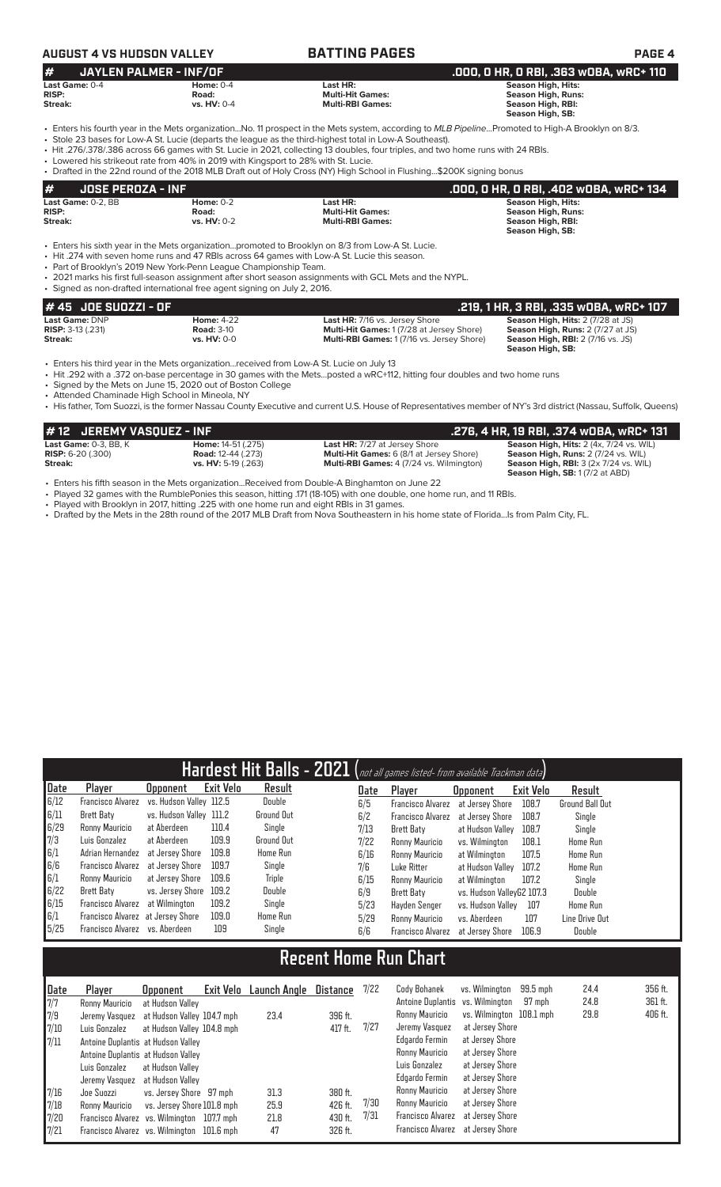## **AUGUST 4 VS HUDSON VALLEY BATTING PAGES PAGE 4**

| #<br>JAYLEN PALMER - INF/OF |                    |                         | .000, 0 HR, 0 RBI, .363 w0BA, wRC+ 110 |
|-----------------------------|--------------------|-------------------------|----------------------------------------|
| Last Game: 0-4              | Home: $0-4$        | Last HR:                | Season High, Hits:                     |
| <b>RISP:</b>                | Road:              | <b>Multi-Hit Games:</b> | Season High, Runs:                     |
| Streak:                     | <b>vs. HV: 0-4</b> | <b>Multi-RBI Games:</b> | Season High, RBI:                      |
|                             |                    |                         | Season High, SB:                       |

- Enters his fourth year in the Mets organization...No. 11 prospect in the Mets system, according to *MLB Pipeline*...Promoted to High-A Brooklyn on 8/3.
- Stole 23 bases for Low-A St. Lucie (departs the league as the third-highest total in Low-A Southeast). • Hit .276/.378/.386 across 66 games with St. Lucie in 2021, collecting 13 doubles, four triples, and two home runs with 24 RBIs.
- Lowered his strikeout rate from 40% in 2019 with Kingsport to 28% with St. Lucie.

• Drafted in the 22nd round of the 2018 MLB Draft out of Holy Cross (NY) High School in Flushing...\$200K signing bonus

| #<br>JOSE PEROZA - INF  |                             |                                                                                                                        | .000, 0 HR, 0 RBI, .402 w0BA, wRC+ 134         |
|-------------------------|-----------------------------|------------------------------------------------------------------------------------------------------------------------|------------------------------------------------|
| Last Game: 0-2, BB      | Home: $0-2$                 | Last HR:                                                                                                               | <b>Season High, Hits:</b>                      |
| <b>RISP:</b><br>Streak: | Road:<br><b>vs. HV: 0-2</b> | <b>Multi-Hit Games:</b><br><b>Multi-RBI Games:</b>                                                                     | <b>Season High, Runs:</b><br>Season High, RBI: |
|                         |                             |                                                                                                                        | Season High, SB:                               |
|                         |                             | $\Gamma$ atang lala abuta cagan bertukan Mata sangan bertukan mengangkan tan Dua abum san O/O fugus Lacce A.Ct. Leadar |                                                |

• Enters his sixth year in the Mets organization...promoted to Brooklyn on 8/3 from Low-A St. Lucie. • Hit .274 with seven home runs and 47 RBIs across 64 games with Low-A St. Lucie this season.

• Part of Brooklyn's 2019 New York-Penn League Championship Team.

• 2021 marks his first full-season assignment after short season assignments with GCL Mets and the NYPL. • Signed as non-drafted international free agent signing on July 2, 2016.

| $#45$ JOE SUOZZI - OF    |                    |                                                   | . .219, 1 HR, 3 RBI, .335 wOBA, wRC+ 107 |
|--------------------------|--------------------|---------------------------------------------------|------------------------------------------|
| Last Game: DNP           | <b>Home: 4-22</b>  | <b>Last HR: 7/16 vs. Jersey Shore</b>             | <b>Season High, Hits: 2 (7/28 at JS)</b> |
| <b>RISP: 3-13 (.231)</b> | <b>Road: 3-10</b>  | <b>Multi-Hit Games: 1 (7/28 at Jersey Shore)</b>  | <b>Season High, Runs: 2 (7/27 at JS)</b> |
| Streak:                  | <b>vs. HV: 0-0</b> | <b>Multi-RBI Games: 1 (7/16 vs. Jersey Shore)</b> | <b>Season High, RBI:</b> 2 (7/16 vs. JS) |
|                          |                    |                                                   | Season High, SB:                         |

• Enters his third year in the Mets organization...received from Low-A St. Lucie on July 13

• Hit .292 with a .372 on-base percentage in 30 games with the Mets...posted a wRC+112, hitting four doubles and two home runs

• Signed by the Mets on June 15, 2020 out of Boston College

Attended Chaminade High School in Mineola, NY

• His father, Tom Suozzi, is the former Nassau County Executive and current U.S. House of Representatives member of NY's 3rd district (Nassau, Suffolk, Queens)

| #12 JEREMY VASQUEZ - INF   |                            |                                                 | .276, 4 HR, 19 RBI, .374 wOBA, wRC+ 131              |
|----------------------------|----------------------------|-------------------------------------------------|------------------------------------------------------|
| Last Game: $0-3$ . BB. $K$ | <b>Home:</b> 14-51 (.275)  | <b>Last HR:</b> 7/27 at Jersey Shore            | Season High, Hits: 2 (4x, 7/24 vs. WIL)              |
| <b>RISP:</b> $6-20$ (.300) | <b>Road:</b> 12-44 (.273)  | <b>Multi-Hit Games:</b> 6 (8/1 at Jersey Shore) | Season High, Runs: 2 (7/24 vs. WIL)                  |
| Streak:                    | <b>vs. HV:</b> 5-19 (.263) | <b>Multi-RBI Games: 4 (7/24 vs. Wilmington)</b> | <b>Season High, RBI:</b> $3$ ( $2x$ 7/ $24$ vs. WIL) |
|                            |                            |                                                 | <b>Season High, SB:</b> 1(7/2 at ABD)                |

• Enters his fifth season in the Mets organization...Received from Double-A Binghamton on June 22

• Played 32 games with the RumblePonies this season, hitting .171 (18-105) with one double, one home run, and 11 RBIs.

• Played with Brooklyn in 2017, hitting .225 with one home run and eight RBIs in 31 games.

• Drafted by the Mets in the 28th round of the 2017 MLB Draft from Nova Southeastern in his home state of Florida...Is from Palm City, FL.

|      |                                   |                         |                  |               |      | Hardest Hit Balls - 2021 (not all games listed- from available Trackman data) |                           |           |                 |
|------|-----------------------------------|-------------------------|------------------|---------------|------|-------------------------------------------------------------------------------|---------------------------|-----------|-----------------|
| Date | Player                            | <b>Opponent</b>         | <b>Exit Velo</b> | Result        | Date | Player                                                                        | <b>Opponent</b>           | Exit Velo | Result          |
| 6/12 | <b>Francisco Alvarez</b>          | vs. Hudson Valley 112.5 |                  | Double        | 6/5  | <b>Francisco Alvarez</b>                                                      | at Jersey Shore           | 108.7     | Ground Ball Out |
| 6/11 | <b>Brett Baty</b>                 | vs. Hudson Valley 111.2 |                  | Ground Out    | 6/2  | <b>Francisco Alvarez</b>                                                      | at Jersey Shore           | 108.7     | Single          |
| 6/29 | Ronny Mauricio                    | at Aberdeen             | 110.4            | Single        | 7/13 | <b>Brett Baty</b>                                                             | at Hudson Valley          | 108.7     | Single          |
| 7/3  | Luis Gonzalez                     | at Aberdeen             | 109.9            | Ground Out    | 7/22 | Ronny Mauricio                                                                | vs. Wilminaton            | 108.1     | <b>Home Run</b> |
| 6/1  | Adrian Hernandez                  | at Jersey Shore         | 109.8            | Home Run      | 6/16 | Ronny Mauricio                                                                | at Wilmington             | 107.5     | <b>Home Run</b> |
| 6/6  | Francisco Alvarez                 | at Jersev Shore         | 109.7            | Single        | 7/6  | Luke Ritter                                                                   | at Hudson Valley          | 107.2     | <b>Home Run</b> |
| 6/1  | Ronny Mauricio                    | at Jersey Shore         | 109.6            | <b>Triple</b> | 6/15 | Ronny Mauricio                                                                | at Wilmington             | 107.2     | Single          |
| 6/22 | Brett Baty                        | vs. Jersey Shore        | 109.2            | Double        | 6/9  | Brett Baty                                                                    | vs. Hudson VallevG2 107.3 |           | Double          |
| 6/15 | Francisco Alvarez                 | at Wilmington           | 109.2            | Single        | 5/23 | Hayden Senger                                                                 | vs. Hudson Valley         | 107       | <b>Home Run</b> |
| 6/1  | Francisco Alvarez at Jersey Shore |                         | 109.0            | Home Run      | 5/29 | Ronny Mauricio                                                                | vs. Aberdeen              | 107       | Line Drive Out  |
| 5/25 | Francisco Alvarez vs. Aberdeen    |                         | 109              | Single        | 6/6  | <b>Francisco Alvarez</b>                                                      | at Jersey Shore           | 106.9     | Double          |

# **Recent Home Run Chart**

| Date          | Player                                     | <b>Opponent</b>                                | Exit Velo Launch Angle | Distance | 7/22 | Cody Bohanek                                       | vs. Wilmington           | 99.5 mph | 24.4<br>24.8 | 356 ft.<br>361 ft. |
|---------------|--------------------------------------------|------------------------------------------------|------------------------|----------|------|----------------------------------------------------|--------------------------|----------|--------------|--------------------|
| 7/7<br>7/9    | Ronny Mauricio<br>Jeremy Vasquez           | at Hudson Valley<br>at Hudson Valley 104.7 mph | 23.4                   | 396 ft.  |      | Antoine Duplantis vs. Wilmington<br>Ronny Mauricio | vs. Wilmington 108.1 mph | 97 mph   | 29.8         | 406 ft.            |
| 7/10          | Luis Gonzalez                              | at Hudson Valley 104.8 mph                     |                        | 417 ft.  | 7/27 | Jeremy Vasquez                                     | at Jersey Shore          |          |              |                    |
| $\sqrt{7/11}$ | Antoine Duplantis at Hudson Valley         |                                                |                        |          |      | Edgardo Fermin                                     | at Jersey Shore          |          |              |                    |
|               | Antoine Duplantis at Hudson Valley         |                                                |                        |          |      | Ronny Mauricio                                     | at Jersey Shore          |          |              |                    |
|               | Luis Gonzalez                              | at Hudson Vallev                               |                        |          |      | Luis Gonzalez                                      | at Jersey Shore          |          |              |                    |
|               | Jeremy Vasquez                             | at Hudson Valley                               |                        |          |      | Edgardo Fermin                                     | at Jersey Shore          |          |              |                    |
| 7/16          | Joe Suozzi                                 | vs. Jersey Shore 97 mph                        | 31.3                   | 380 ft.  |      | Ronny Mauricio                                     | at Jersey Shore          |          |              |                    |
| 7/18          | Ronny Mauricio                             | vs. Jersey Shore 101.8 mph                     | 25.9                   | 426 ft.  | 7/30 | Ronny Mauricio                                     | at Jersey Shore          |          |              |                    |
| 7/20          | Francisco Alvarez vs. Wilmington 107.7 mph |                                                | 21.8                   | 430 ft.  | 7/31 | Francisco Alvarez                                  | at Jersey Shore          |          |              |                    |
| 7/21          | Francisco Alvarez vs. Wilmington 101.6 mph |                                                | 47                     | 326 ft.  |      | Francisco Alvarez                                  | at Jersey Shore          |          |              |                    |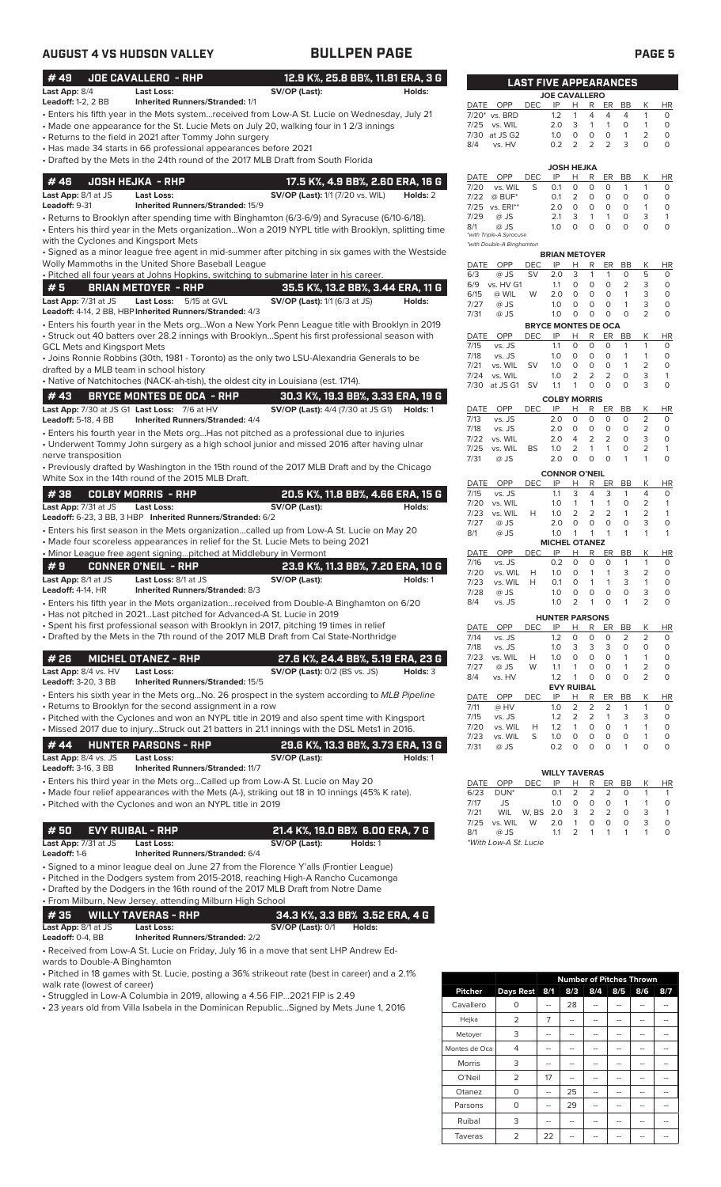# **AUGUST 4 VS HUDSON VALLEY BULLPEN PAGE PAGE 5**

| #49                                                | <b>JOE CAVALLERO - RHP</b>                                             | 12.9 K%, 25.8 BB%, 11.81 ERA, 3 G                                                                                                                                                               |          |              |                                 | <b>LAST FIVE APPEARANCES</b> |            |                                      |                                        |                         |                                |                          |
|----------------------------------------------------|------------------------------------------------------------------------|-------------------------------------------------------------------------------------------------------------------------------------------------------------------------------------------------|----------|--------------|---------------------------------|------------------------------|------------|--------------------------------------|----------------------------------------|-------------------------|--------------------------------|--------------------------|
| Last App: 8/4<br><b>Leadoff:</b> 1-2, 2 BB         | Last Loss:<br><b>Inherited Runners/Stranded: 1/1</b>                   | SV/OP (Last):                                                                                                                                                                                   | Holds:   |              |                                 |                              |            | <b>JOE CAVALLERO</b>                 |                                        |                         |                                |                          |
|                                                    |                                                                        | Enters his fifth year in the Mets system…received from Low-A St. Lucie on Wednesday, July 21 -                                                                                                  |          | DATE OPP     | 7/20* vs. BRD                   | <b>DEC</b>                   | IP<br>1.2  | H<br>1                               | R<br>ER<br>4<br>4                      | BB<br>$\overline{4}$    | К<br>$\mathbf{1}$              | <b>HR</b><br>0           |
|                                                    |                                                                        | • Made one appearance for the St. Lucie Mets on July 20, walking four in 12/3 innings                                                                                                           |          | 7/25         | vs. WIL                         |                              | 2.0        | 3                                    | $\mathbf{1}$<br>1                      | 0                       | $\mathbf{1}$                   | $\circ$                  |
|                                                    | Returns to the field in 2021 after Tommy John surgery                  |                                                                                                                                                                                                 |          |              | 7/30 at JS G2                   |                              | 1.0        | 0                                    | 0<br>0                                 | $\mathbf{1}$            | $\overline{2}$                 | $\circ$                  |
|                                                    | Has made 34 starts in 66 professional appearances before 2021 •        |                                                                                                                                                                                                 |          | 8/4          | vs. HV                          |                              | 0.2        | 2                                    | 2<br>2                                 | 3                       | $\Omega$                       | $\Omega$                 |
|                                                    |                                                                        | • Drafted by the Mets in the 24th round of the 2017 MLB Draft from South Florida                                                                                                                |          |              |                                 |                              |            | JOSH HEJKA                           |                                        |                         |                                |                          |
| #46                                                | <b>JOSH HEJKA - RHP</b>                                                | 17.5 K%, 4.9 BB%, 2.60 ERA, 16 G                                                                                                                                                                |          | DATE         | OPP                             | DEC                          | IP         | н                                    | R<br>ER                                | BB                      | К                              | HR                       |
| Last App: 8/1 at JS                                | <b>Last Loss:</b>                                                      | <b>SV/OP (Last):</b> 1/1 (7/20 vs. WIL)                                                                                                                                                         | Holds: 2 | 7/20<br>7/22 | vs. WIL<br>$@$ BUF*             | S                            | 0.1<br>0.1 | 0<br>2                               | 0<br>O<br>0<br>0                       | $\mathbf{1}$<br>$\circ$ | $\mathbf{1}$<br>$\circ$        | 0<br>$\circ$             |
| Leadoff: 9-31                                      | <b>Inherited Runners/Stranded: 15/9</b>                                |                                                                                                                                                                                                 |          |              | 7/25 vs. ERI**                  |                              | 2.0        | 0                                    | 0<br>0                                 | $\circ$                 | $\mathbf{1}$                   | $\circ$                  |
|                                                    |                                                                        | Returns to Brooklyn after spending time with Binghamton (6/3-6/9) and Syracuse (6/10-6/18).                                                                                                     |          | 7/29         | @ JS                            |                              | 2.1        | 3                                    | $\mathbf{1}$<br>1                      | 0                       | 3                              | $\mathbf{1}$             |
|                                                    |                                                                        | · Enters his third year in the Mets organizationWon a 2019 NYPL title with Brooklyn, splitting time                                                                                             |          | 8/1          | @ JS<br>*with Triple-A Syracuse |                              | 1.0        | $\circ$                              | $\circ$<br>$\circ$                     | $\circ$                 | $\circ$                        | $\circ$                  |
| with the Cyclones and Kingsport Mets               |                                                                        | · Signed as a minor league free agent in mid-summer after pitching in six games with the Westside                                                                                               |          |              | *with Double-A Binghamton       |                              |            |                                      |                                        |                         |                                |                          |
|                                                    | Wolly Mammoths in the United Shore Baseball League                     |                                                                                                                                                                                                 |          |              | DATE OPP                        | DEC                          | IP         | <b>BRIAN METOYER</b><br>H            | R<br>ER                                | BB                      | К                              | HR                       |
|                                                    |                                                                        | · Pitched all four years at Johns Hopkins, switching to submarine later in his career.                                                                                                          |          | 6/3          | @ JS                            | <b>SV</b>                    | 2.0        | 3                                    | $\mathbf{1}$<br>1                      | $\mathbf 0$             | 5                              | $\circ$                  |
| #5                                                 | <b>BRIAN METOYER - RHP</b>                                             | 35.5 K%, 13.2 BB%, 3.44 ERA, 11 G                                                                                                                                                               |          | 6/15         | 6/9 vs. HV G1<br>@ WIL          | W                            | 1.1<br>2.0 | 0<br>0                               | 0<br>0<br>$\circ$<br>0                 | 2<br>$\mathbf{1}$       | 3<br>3                         | 0<br>$\circ$             |
| Last App: 7/31 at JS                               | <b>Last Loss:</b><br>5/15 at GVL                                       | SV/OP (Last): 1/1 (6/3 at JS)                                                                                                                                                                   | Holds:   | 7/27         | @ JS                            |                              | 1.0        | 0                                    | 0<br>0                                 | $\overline{1}$          | 3                              | $\circ$                  |
|                                                    | Leadoff: 4-14, 2 BB, HBP Inherited Runners/Stranded: 4/3               |                                                                                                                                                                                                 |          | 7/31         | @ JS                            |                              | 1.0        | 0                                    | 0<br>0                                 | $\circ$                 | 2                              | $\circ$                  |
|                                                    |                                                                        | Enters his fourth year in the Mets orgWon a New York Penn League title with Brooklyn in 2019 .<br>Struck out 40 batters over 28.2 innings with BrooklynSpent his first professional season with |          | DATE OPP     |                                 | <b>DEC</b>                   | IP         | <b>BRYCE MONTES DE OCA</b><br>H.     | R<br>ER                                | BB                      | Κ                              | HR                       |
| GCL Mets and Kingsport Mets                        |                                                                        |                                                                                                                                                                                                 |          | 7/15         | vs. JS                          |                              | 1.1        | $\circ$                              | 0<br>O                                 | $\mathbf{1}$            | $\mathbf{1}$                   | $\circ$                  |
|                                                    |                                                                        | • Joins Ronnie Robbins (30th, 1981 - Toronto) as the only two LSU-Alexandria Generals to be                                                                                                     |          | 7/18         | vs. JS                          |                              | 1.0        | 0                                    | 0<br>0                                 | $\mathbf{1}$            | 1                              | 0                        |
| drafted by a MLB team in school history            |                                                                        |                                                                                                                                                                                                 |          | 7/21<br>7/24 | vs. WIL<br>vs. WIL              | <b>SV</b>                    | 1.0<br>1.0 | 0<br>2                               | 0<br>O<br>2<br>$\overline{2}$          | $\mathbf{1}$<br>0       | $\overline{2}$<br>3            | 0<br>$\mathbf{1}$        |
|                                                    |                                                                        | • Native of Natchitoches (NACK-ah-tish), the oldest city in Louisiana (est. 1714).                                                                                                              |          |              | 7/30 at JS G1 SV                |                              | 1.1        | $\mathbf{1}$                         | 0<br>$\Omega$                          | $\Omega$                | 3                              | $\Omega$                 |
| #43                                                | <b>BRYCE MONTES DE OCA - RHP</b>                                       | 30.3 K%, 19.3 BB%, 3.33 ERA, 19 G                                                                                                                                                               |          |              |                                 |                              |            | <b>COLBY MORRIS</b>                  |                                        |                         |                                |                          |
|                                                    | Last App: 7/30 at JS G1 Last Loss: 7/6 at HV                           | <b>SV/OP (Last):</b> 4/4 (7/30 at JS G1)                                                                                                                                                        | Holds: 1 | DATE<br>7/13 | OPP<br>vs. JS                   | <b>DEC</b>                   | IP<br>2.0  | Н<br>0                               | R<br>ER<br>0<br>O                      | BB<br>0                 | К<br>2                         | HR<br>0                  |
| <b>Leadoff: 5-18, 4 BB</b>                         | <b>Inherited Runners/Stranded: 4/4</b>                                 |                                                                                                                                                                                                 |          | 7/18         | vs. JS                          |                              | 2.0        | 0                                    | 0<br>0                                 | $\circ$                 | 2                              | $\circ$                  |
|                                                    |                                                                        | Enters his fourth year in the Mets orgHas not pitched as a professional due to injuries •<br>• Underwent Tommy John surgery as a high school junior and missed 2016 after having ulnar          |          | 7/22         | vs. WIL                         |                              | 2.0        | 4                                    | 2<br>2                                 | $\circ$                 | 3                              | $\circ$                  |
| nerve transposition                                |                                                                        |                                                                                                                                                                                                 |          | 7/25<br>7/31 | vs. WIL<br>@ JS                 | <b>BS</b>                    | 1.0<br>2.0 | 2<br>$\circ$                         | $\mathbf{1}$<br>1<br>0<br>O            | $\circ$<br>1            | $\overline{2}$<br>$\mathbf{1}$ | $\mathbf{1}$<br>$\Omega$ |
|                                                    |                                                                        | • Previously drafted by Washington in the 15th round of the 2017 MLB Draft and by the Chicago                                                                                                   |          |              |                                 |                              |            | <b>CONNOR O'NEIL</b>                 |                                        |                         |                                |                          |
|                                                    | White Sox in the 14th round of the 2015 MLB Draft.                     |                                                                                                                                                                                                 |          | DATE         | OPP                             | DEC                          | IP         | Н                                    | R<br>ER                                | BB                      | К                              | <b>HR</b>                |
| #38                                                | <b>COLBY MORRIS - RHP</b>                                              | 20.5 K%, 11.8 BB%, 4.66 ERA, 15 G                                                                                                                                                               |          | 7/15         | vs. JS                          |                              | 1.1        | 3                                    | 4<br>3<br>1                            | $\overline{1}$          | 4<br>2                         | 0<br>$\mathbf{1}$        |
| Last App: 7/31 at JS                               | Last Loss:                                                             | SV/OP (Last):                                                                                                                                                                                   | Holds:   | 7/20<br>7/23 | vs. WIL<br>vs. WIL              | H                            | 1.0<br>1.0 | 1<br>$\overline{2}$                  | 1<br>2<br>$\overline{2}$               | 0<br>$\mathbf{1}$       | 2                              | $\mathbf{1}$             |
|                                                    | Leadoff: 6-23, 3 BB, 3 HBP Inherited Runners/Stranded: 6/2             | · Enters his first season in the Mets organizationcalled up from Low-A St. Lucie on May 20                                                                                                      |          | 7/27         | @ JS                            |                              | 2.0        | 0                                    | 0<br>0                                 | 0                       | 3                              | $\circ$                  |
|                                                    |                                                                        | • Made four scoreless appearances in relief for the St. Lucie Mets to being 2021                                                                                                                |          | 8/1          | @ JS                            |                              | 1.0        | $\mathbf{1}$<br><b>MICHEL OTANEZ</b> | $\mathbf{1}$<br>$\mathbf{1}$           | $\mathbf{1}$            | $\mathbf{1}$                   | $\mathbf{1}$             |
|                                                    | • Minor League free agent signingpitched at Middlebury in Vermont      |                                                                                                                                                                                                 |          | DATE         | OPP                             | <b>DEC</b>                   | IP         | Н                                    | R<br>ER                                | BB                      | К                              | <b>HR</b>                |
| #9                                                 | <b>CONNER O'NEIL - RHP</b>                                             | 23.9 K%, 11.3 BB%, 7.20 ERA, 10 G                                                                                                                                                               |          | 7/16<br>7/20 | vs. JS<br>vs. WIL               | H                            | 0.2<br>1.0 | 0<br>$\circ$                         | 0<br>0<br>$\mathbf{1}$<br>$\mathbf{1}$ | $\overline{1}$<br>3     | 1<br>$\overline{2}$            | 0<br>$\circ$             |
| Last App: 8/1 at JS                                | Last Loss: 8/1 at JS                                                   | SV/OP (Last):                                                                                                                                                                                   | Holds: 1 | 7/23         | vs. WIL                         | н                            | 0.1        | $\circ$                              | $\mathbf{1}$<br>$\mathbf{1}$           | 3                       | 1                              | 0                        |
| <b>Leadoff:</b> 4-14, HR                           | Inherited Runners/Stranded: 8/3                                        |                                                                                                                                                                                                 |          | 7/28         | @ JS                            |                              | 1.0        | 0                                    | 0<br>0                                 | 0                       | 3                              | 0                        |
|                                                    | • Has not pitched in 2021Last pitched for Advanced-A St. Lucie in 2019 | • Enters his fifth year in the Mets organization…received from Double-A Binghamton on 6/20                                                                                                      |          | 8/4          | vs. JS                          |                              | 1.0        | $\overline{2}$                       | 1<br>0                                 | $\mathbf{1}$            | 2                              | 0                        |
|                                                    |                                                                        | Spent his first professional season with Brooklyn in 2017, pitching 19 times in relief                                                                                                          |          | DATE         | OPP                             | DEC                          | IP         | <b>HUNTER PARSONS</b><br>н           | R<br>ER                                | BB                      | К                              | <b>HR</b>                |
|                                                    |                                                                        | • Drafted by the Mets in the 7th round of the 2017 MLB Draft from Cal State-Northridge                                                                                                          |          | 7/14         | vs. JS                          |                              | 1.2        | 0                                    | 0<br>0                                 | 2                       | 2                              | 0                        |
|                                                    |                                                                        |                                                                                                                                                                                                 |          | 7/18<br>7/23 | vs. JS<br>vs. WIL               |                              | 1.0<br>1.0 | 3<br>0                               | 3<br>3<br>0<br>0                       | $\circ$<br>$\mathbf{1}$ | 0<br>1                         | 0<br>0                   |
| #26                                                | <b>MICHEL OTANEZ - RHP</b>                                             | 27.6 K%, 24.4 BB%, 5.19 ERA, 23 G                                                                                                                                                               | Holds: 3 | 7/27         | @ JS                            | Н<br>W                       | 1.1        | 1                                    | 0<br>0                                 | 1                       | 2                              | 0                        |
| Last App: 8/4 vs. HV<br><b>Leadoff:</b> 3-20, 3 BB | <b>Last Loss:</b><br>Inherited Runners/Stranded: 15/5                  | <b>SV/OP (Last):</b> 0/2 (BS vs. JS)                                                                                                                                                            |          | 8/4          | vs. HV                          |                              | 1.2        | $\mathbf{1}$                         | 0<br>O                                 | $\circ$                 | 2                              | $\circ$                  |
|                                                    |                                                                        | • Enters his sixth year in the Mets orgNo. 26 prospect in the system according to <i>MLB Pipeline</i>                                                                                           |          | DATE         | OPP                             | DEC                          | IP         | <b>EVY RUIBAL</b><br>н               | R<br>ER                                | BB                      | К                              | HR                       |
|                                                    | • Returns to Brooklyn for the second assignment in a row               |                                                                                                                                                                                                 |          | 7/11         | @ HV                            |                              | 1.0        | 2                                    | 2<br>2                                 | -1                      | 1                              | 0                        |
|                                                    |                                                                        | • Pitched with the Cyclones and won an NYPL title in 2019 and also spent time with Kingsport                                                                                                    |          | 7/15<br>7/20 | vs. JS<br>vs. WIL               | H                            | 1.2<br>1.2 | $\overline{2}$<br>$\mathbf{1}$       | $\overline{2}$<br>1<br>0<br>0          | 3<br>$\mathbf{1}$       | 3<br>$\mathbf{1}$              | 0<br>0                   |
|                                                    |                                                                        | . Missed 2017 due to injuryStruck out 21 batters in 21.1 innings with the DSL Mets1 in 2016.                                                                                                    |          | 7/23         | vs. WIL                         | S                            | 1.0        | 0                                    | 0<br>0                                 | 0                       | 1                              | 0                        |
| #44                                                | <b>HUNTER PARSONS - RHP</b>                                            | 29.6 K%, 13.3 BB%, 3.73 ERA, 13 G                                                                                                                                                               |          | 7/31         | @ JS                            |                              | 0.2        | 0                                    | 0<br>O                                 | $\mathbf{1}$            | $\circ$                        | $\circ$                  |
| Last App: 8/4 vs. JS<br><b>Leadoff:</b> 3-16, 3 BB | <b>Last Loss:</b><br><b>Inherited Runners/Stranded: 11/7</b>           | SV/OP (Last):                                                                                                                                                                                   | Holds: 1 |              |                                 |                              |            |                                      |                                        |                         |                                |                          |
|                                                    |                                                                        | · Enters his third year in the Mets orgCalled up from Low-A St. Lucie on May 20                                                                                                                 |          | DATE         | OPP                             | <b>DEC</b>                   | IP         | <b>WILLY TAVERAS</b><br>Н            | R<br>ER                                | BB                      | К                              | HR                       |
|                                                    |                                                                        | • Made four relief appearances with the Mets (A-), striking out 18 in 10 innings (45% K rate).                                                                                                  |          | 6/23         | DUN <sup>*</sup>                |                              | 0.1        | 2                                    | 2<br>$\overline{2}$                    | 0                       | 1                              | 1                        |
|                                                    | • Pitched with the Cyclones and won an NYPL title in 2019              |                                                                                                                                                                                                 |          | 7/17         | JS                              |                              | 1.0        | $\circ$<br>3                         | $\circ$<br>0<br>2                      | $\mathbf{1}$<br>0       | $\mathbf{1}$<br>3              | 0<br>1                   |
|                                                    |                                                                        |                                                                                                                                                                                                 |          | 7/21<br>7/25 | WIL<br>vs. WIL                  | W, BS 2.0<br>W               | 2.0        | 1                                    | 2<br>$\circ$<br>0                      | $\circ$                 | 3                              | $\circ$                  |
| #50                                                | <b>EVY RUIBAL - RHP</b>                                                | 21.4 K%, 19.0 BB% 6.00 ERA, 7 G                                                                                                                                                                 |          | 8/1          | @ JS                            |                              | 1.1        | 2                                    | 1<br>1                                 | $\mathbf{1}$            | $\mathbf{1}$                   | $\circ$                  |
| Last App: 7/31 at JS<br><b>Leadoff:</b> 1-6        | <b>Last Loss:</b><br>Inherited Runners/Stranded: 6/4                   | SV/OP (Last):<br>Holds: 1                                                                                                                                                                       |          |              | *With Low-A St. Lucie           |                              |            |                                      |                                        |                         |                                |                          |
|                                                    |                                                                        | · Signed to a minor league deal on June 27 from the Florence Y'alls (Frontier League)                                                                                                           |          |              |                                 |                              |            |                                      |                                        |                         |                                |                          |
|                                                    |                                                                        | • Pitched in the Dodgers system from 2015-2018, reaching High-A Rancho Cucamonga                                                                                                                |          |              |                                 |                              |            |                                      |                                        |                         |                                |                          |
|                                                    |                                                                        | • Drafted by the Dodgers in the 16th round of the 2017 MLB Draft from Notre Dame                                                                                                                |          |              |                                 |                              |            |                                      |                                        |                         |                                |                          |
|                                                    | · From Milburn, New Jersey, attending Milburn High School              |                                                                                                                                                                                                 |          |              |                                 |                              |            |                                      |                                        |                         |                                |                          |
| #35                                                | <b>WILLY TAVERAS - RHP</b>                                             | 34.3 K%, 3.3 BB% 3.52 ERA, 4 G                                                                                                                                                                  |          |              |                                 |                              |            |                                      |                                        |                         |                                |                          |
| Last App: 8/1 at JS                                | Last Loss:<br><b>Inherited Runners/Stranded: 2/2</b>                   | <b>SV/OP (Last): 0/1</b><br>Holds:                                                                                                                                                              |          |              |                                 |                              |            |                                      |                                        |                         |                                |                          |
| Leadoff: 0-4, BB                                   |                                                                        | • Received from Low-A St. Lucie on Friday, July 16 in a move that sent LHP Andrew Ed-                                                                                                           |          |              |                                 |                              |            |                                      |                                        |                         |                                |                          |
| wards to Double-A Binghamton                       |                                                                        |                                                                                                                                                                                                 |          |              |                                 |                              |            |                                      |                                        |                         |                                |                          |

• Pitched in 18 games with St. Lucie, posting a 36% strikeout rate (best in career) and a 2.1% walk rate (lowest of career)

• Struggled in Low-A Columbia in 2019, allowing a 4.56 FIP...2021 FIP is 2.49

• 23 years old from Villa Isabela in the Dominican Republic...Signed by Mets June 1, 2016

|                |                | <b>Number of Pitches Thrown</b> |     |     |     |     |     |  |  |  |  |
|----------------|----------------|---------------------------------|-----|-----|-----|-----|-----|--|--|--|--|
| <b>Pitcher</b> | Days Rest      | 8/1                             | 8/3 | 8/4 | 8/5 | 8/6 | 8/7 |  |  |  |  |
| Cavallero      | 0              |                                 | 28  |     |     |     |     |  |  |  |  |
| Hejka          | $\overline{2}$ | 7                               | --  |     | --  | --  |     |  |  |  |  |
| Metoyer        | 3              |                                 |     |     |     |     |     |  |  |  |  |
| Montes de Oca  | 4              | --                              | --  |     | --  | --  |     |  |  |  |  |
| Morris         | 3              | --                              | --  |     | --  | --  |     |  |  |  |  |
| O'Neil         | $\overline{2}$ | 17                              |     |     |     |     |     |  |  |  |  |
| Otanez         | $\Omega$       |                                 | 25  |     |     |     |     |  |  |  |  |
| Parsons        | Ο              |                                 | 29  |     |     |     |     |  |  |  |  |
| Ruibal         | 3              | --                              | --  | --  | --  | --  |     |  |  |  |  |
| Taveras        | 2              | 22                              |     |     |     |     |     |  |  |  |  |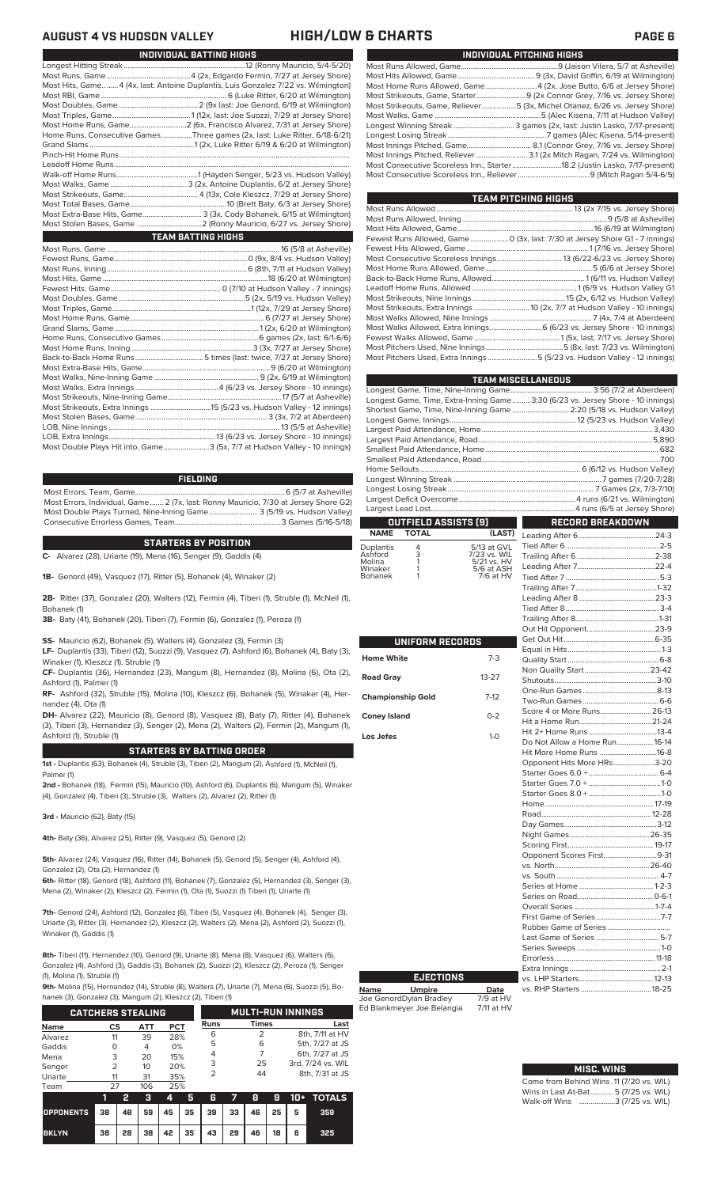## **AUGUST 4 VS HUDSON VALLEY HIGH/LOW & CHARTS PAGE 6**

| Most Hits, Game  4 (4x, last: Antoine Duplantis, Luis Gonzalez 7/22 vs. Wilmington) |
|-------------------------------------------------------------------------------------|
|                                                                                     |
|                                                                                     |
|                                                                                     |
|                                                                                     |
| Home Runs, Consecutive Games Three games (2x, last: Luke Ritter, 6/18-6/21)         |
|                                                                                     |
|                                                                                     |
|                                                                                     |
|                                                                                     |
|                                                                                     |
|                                                                                     |
|                                                                                     |
| Most Extra-Base Hits, Game 3 (3x, Cody Bohanek, 6/15 at Wilmington)                 |
|                                                                                     |
| TEAM BATTING HIGHS                                                                  |
|                                                                                     |
|                                                                                     |
|                                                                                     |
|                                                                                     |

**INDIVIDUAL BATTING HIGHS**

| Most Double Plays Hit into, Game3 (5x, 7/7 at Hudson Valley - 10 innings) |  |
|---------------------------------------------------------------------------|--|
|                                                                           |  |
|                                                                           |  |
|                                                                           |  |
|                                                                           |  |
|                                                                           |  |
|                                                                           |  |
|                                                                           |  |
|                                                                           |  |
|                                                                           |  |
|                                                                           |  |
|                                                                           |  |
|                                                                           |  |
|                                                                           |  |
|                                                                           |  |
|                                                                           |  |
|                                                                           |  |
|                                                                           |  |
|                                                                           |  |

## **FIELDING**

Most Errors, Team, Game...............................................................................6 (5/7 at Asheville) Most Errors, Individual, Game....... 2 (7x, last: Ronny Mauricio, 7/30 at Jersey Shore G2) Most Double Plays Turned, Nine-Inning Game.......................... 3 (5/19 vs. Hudson Valley) Consecutive Errorless Games, Team...

## **STARTERS BY POSITION**

**C-** Alvarez (28), Uriarte (19), Mena (16), Senger (9), Gaddis (4)

**1B-** Genord (49), Vasquez (17), Ritter (5), Bohanek (4), Winaker (2)

**2B-** Ritter (37), Gonzalez (20), Walters (12), Fermin (4), Tiberi (1), Struble (1), McNeil (1), Bohanek (1)

**3B-** Baty (41), Bohanek (20), Tiberi (7), Fermin (6), Gonzalez (1), Peroza (1)

**SS-** Mauricio (62), Bohanek (5), Walters (4), Gonzalez (3), Fermin (3)

**LF-** Duplantis (33), Tiberi (12), Suozzi (9), Vasquez (7), Ashford (6), Bohanek (4), Baty (3), Winaker (1), Kleszcz (1), Struble (1)

**CF-** Duplantis (36), Hernandez (23), Mangum (8), Hernandez (8), Molina (6), Ota (2), Ashford (1), Palmer (1)

**RF-** Ashford (32), Struble (15), Molina (10), Kleszcz (6), Bohanek (5), Winaker (4), Hernandez (4), Ota (1)

**DH-** Alvarez (22), Mauricio (8), Genord (8), Vasquez (8), Baty (7), Ritter (4), Bohanek (3), Tiberi (3), Hernandez (3), Senger (2), Mena (2), Walters (2), Fermin (2), Mangum (1), Ashford (1), Struble (1)

## **STARTERS BY BATTING ORDER**

**1st -** Duplantis (63), Bohanek (4), Struble (3), Tiberi (2), Mangum (2), Ashford (1), McNeil (1), Palmer (1)

**2nd -** Bohanek (18), Fermin (15), Mauricio (10), Ashford (6), Duplantis (6), Mangum (5), Winaker (4), Gonzalez (4), Tiberi (3), Struble (3), Walters (2), Alvarez (2), Ritter (1)

**3rd -** Mauricio (62), Baty (15)

**4th-** Baty (36), Alvarez (25), Ritter (9), Vasquez (5), Genord (2)

**5th-** Alvarez (24), Vasquez (16), Ritter (14), Bohanek (5), Genord (5), Senger (4), Ashford (4), Gonzalez (2), Ota (2), Hernandez (1)

**6th-** Ritter (18), Genord (18), Ashford (11), Bohanek (7), Gonzalez (5), Hernandez (3), Senger (3), Mena (2), Winaker (2), Kleszcz (2), Fermin (1), Ota (1), Suozzi (1) Tiberi (1), Uriarte (1)

**7th-** Genord (24), Ashford (12), Gonzalez (6), Tiberi (5), Vasquez (4), Bohanek (4), Senger (3), Uriarte (3), Ritter (3), Hernandez (2), Kleszcz (2), Walters (2), Mena (2), Ashford (2), Suozzi (1), Winaker (1), Gaddis (1)

**8th-** Tiberi (11), Hernandez (10), Genord (9), Uriarte (8), Mena (8), Vasquez (6), Walters (6), Gonzalez (4), Ashford (3), Gaddis (3), Bohanek (2), Suozzi (2), Kleszcz (2), Peroza (1), Senger (1), Molina (1), Struble (1)

**9th-** Molina (15), Hernandez (14), Struble (8), Walters (7), Uriarte (7), Mena (6), Suozzi (5), Bo-<br>banek (3), Gonzalez (3), Mangum (2), Kleszcz (2), Tiberi (1)

| hanek (3), Gonzalez (3), Mangum (2), Kleszcz (2), Tiberi (1) |               |    |     |            |                          |             |    |              |    |       |                   |
|--------------------------------------------------------------|---------------|----|-----|------------|--------------------------|-------------|----|--------------|----|-------|-------------------|
| <b>CATCHERS STEALING</b>                                     |               |    |     |            | <b>MULTI-RUN INNINGS</b> |             |    |              |    |       |                   |
| <b>Name</b>                                                  | CS            |    | ATT | <b>PCT</b> |                          | <b>Runs</b> |    | <b>Times</b> |    |       | Last              |
| Alvarez                                                      | 11            |    | 39  | 28%        |                          | 6           |    | 2            |    |       | 8th, 7/11 at HV   |
| Gaddis                                                       | O             |    | 4   | 0%         |                          | 5           |    | 6            |    |       | 5th, 7/27 at JS   |
| Mena                                                         | 3             |    | 20  | 15%        |                          | 4           |    |              |    |       | 6th, 7/27 at JS   |
| Senger                                                       | $\mathcal{P}$ |    | 10  | 20%        |                          | 3           |    | 25           |    |       | 3rd, 7/24 vs. WIL |
| Uriarte                                                      | 11            |    | 31  | 35%        |                          | 2           |    | 44           |    |       | 8th, 7/31 at JS   |
| Team                                                         | 27            |    | 106 | 25%        |                          |             |    |              |    |       |                   |
|                                                              | ī             | 2  | з   | 4          | 5                        | 6           |    | 8            | 9  | $10+$ | <b>TOTALS</b>     |
| <b>OPPONENTS</b>                                             | 38            | 48 | 59  | 45         | 35                       | 39          | 33 | 46           | 25 | 5     | 359               |

**BKLYN 38 28 38 42 35 43 29 46 18 6 325**

| INDIVIDUAL PITCHING HIGHS |                                                                             |  |  |  |  |  |
|---------------------------|-----------------------------------------------------------------------------|--|--|--|--|--|
|                           |                                                                             |  |  |  |  |  |
|                           |                                                                             |  |  |  |  |  |
|                           | Most Home Runs Allowed, Game 4 (2x, Jose Butto, 6/6 at Jersey Shore)        |  |  |  |  |  |
|                           |                                                                             |  |  |  |  |  |
|                           | Most Strikeouts, Game, Reliever5 (3x, Michel Otanez, 6/26 vs. Jersey Shore) |  |  |  |  |  |
|                           |                                                                             |  |  |  |  |  |
|                           | Longest Winning Streak  3 games (2x, last: Justin Lasko, 7/17-present)      |  |  |  |  |  |
|                           |                                                                             |  |  |  |  |  |
|                           |                                                                             |  |  |  |  |  |
|                           |                                                                             |  |  |  |  |  |
|                           | Most Consecutive Scoreless Inn., Starter18.2 (Justin Lasko, 7/17-present)   |  |  |  |  |  |
|                           |                                                                             |  |  |  |  |  |

| TEAM PITCHING HIGHS                                                          |
|------------------------------------------------------------------------------|
|                                                                              |
|                                                                              |
|                                                                              |
| Fewest Runs Allowed, Game  0 (3x, last: 7/30 at Jersey Shore G1 - 7 innings) |
|                                                                              |
|                                                                              |
|                                                                              |
|                                                                              |
|                                                                              |
|                                                                              |
|                                                                              |
|                                                                              |
|                                                                              |
|                                                                              |
|                                                                              |
| Most Pitchers Used, Extra Innings 5 (5/23 vs. Hudson Valley - 12 innings)    |
|                                                                              |

|                   |                      |                             | TEAM MISCELLANEOUS                                                             |     |  |  |
|-------------------|----------------------|-----------------------------|--------------------------------------------------------------------------------|-----|--|--|
|                   |                      |                             |                                                                                |     |  |  |
|                   |                      |                             | Longest Game, Time, Extra-Inning Game3:30 (6/23 vs. Jersey Shore - 10 innings) |     |  |  |
|                   |                      |                             | Shortest Game, Time, Nine-Inning Game  2:20 (5/18 vs. Hudson Valley)           |     |  |  |
|                   |                      |                             |                                                                                |     |  |  |
|                   |                      |                             |                                                                                |     |  |  |
|                   |                      |                             |                                                                                |     |  |  |
|                   |                      |                             |                                                                                |     |  |  |
|                   |                      |                             |                                                                                |     |  |  |
|                   |                      |                             |                                                                                |     |  |  |
|                   |                      |                             |                                                                                |     |  |  |
|                   |                      |                             |                                                                                |     |  |  |
|                   |                      |                             |                                                                                |     |  |  |
|                   |                      |                             |                                                                                |     |  |  |
|                   |                      |                             |                                                                                |     |  |  |
|                   | OUTFIELD ASSISTS [9] |                             | RECORD BREAKDOWN                                                               |     |  |  |
| <b>NAME</b>       | <b>TOTAL</b>         | (LAST)                      |                                                                                |     |  |  |
| <b>Duplantis</b>  |                      | 5/13 at GVL                 |                                                                                |     |  |  |
| Ashford           | $rac{4}{3}$          | 7/23 vs. WIL<br>5/21 vs. HV |                                                                                |     |  |  |
| Molina<br>Winaker |                      | 5/6 at ASH                  |                                                                                |     |  |  |
| <b>Bohanek</b>    |                      | 7/6 at HV                   | Tied After 7                                                                   | 5-3 |  |  |

| UNIFORM RECORDS          |           | I                    |
|--------------------------|-----------|----------------------|
| <b>Home White</b>        | $7-3$     | l                    |
| <b>Road Gray</b>         | $13 - 27$ | <br> <br> <br>       |
| <b>Championship Gold</b> | $7-12$    |                      |
| <b>Coney Island</b>      | $0 - 2$   | ٠.<br>ا              |
| Los Jefes                | $1-0$     | I<br>I               |
|                          |           | l<br>$\mathbf$       |
|                          |           | $\ddot{\phantom{0}}$ |
|                          |           | I                    |
|                          |           | I                    |
|                          |           | I<br>ļ               |
|                          |           | Î                    |
|                          |           |                      |
|                          |           | ا<br>ما ما ما        |
|                          |           | I                    |
|                          |           | I<br>l               |
|                          |           | :<br>ï               |

Winaker 1 5/6 at ASH Bohanek 1 7/6 at HV

Г

| <u>RECORD BREAKDOWN</u>       |  |
|-------------------------------|--|
|                               |  |
|                               |  |
|                               |  |
|                               |  |
|                               |  |
|                               |  |
|                               |  |
|                               |  |
|                               |  |
|                               |  |
|                               |  |
|                               |  |
|                               |  |
| Non Quality Start 23-42       |  |
|                               |  |
|                               |  |
|                               |  |
| Score 4 or More Runs 26-13    |  |
|                               |  |
|                               |  |
| Do Not Allow a Home Run 16-14 |  |
| Hit More Home Runs 16-8       |  |
| Opponent Hits More HRs3-20    |  |
|                               |  |
|                               |  |
|                               |  |
|                               |  |
|                               |  |
|                               |  |
|                               |  |
|                               |  |
| Opponent Scores First9-31     |  |
|                               |  |
|                               |  |
|                               |  |
|                               |  |
|                               |  |
|                               |  |
|                               |  |
| Last Game of Series  5-7      |  |
|                               |  |
|                               |  |
|                               |  |
|                               |  |
|                               |  |

# **MISC. WINS**

Come from Behind Wins .11 (7/20 vs. WIL) Wins in Last At-Bat............ 5 (7/25 vs. WIL) Walk-off Wins ...................3 (7/25 vs. WIL)

# Ed Blankmeyer Joe Belangia 7/11 at HV

**EJECTIONS**

**Name Umpire Date** Joe GenordDylan Bradley 7/9 at HV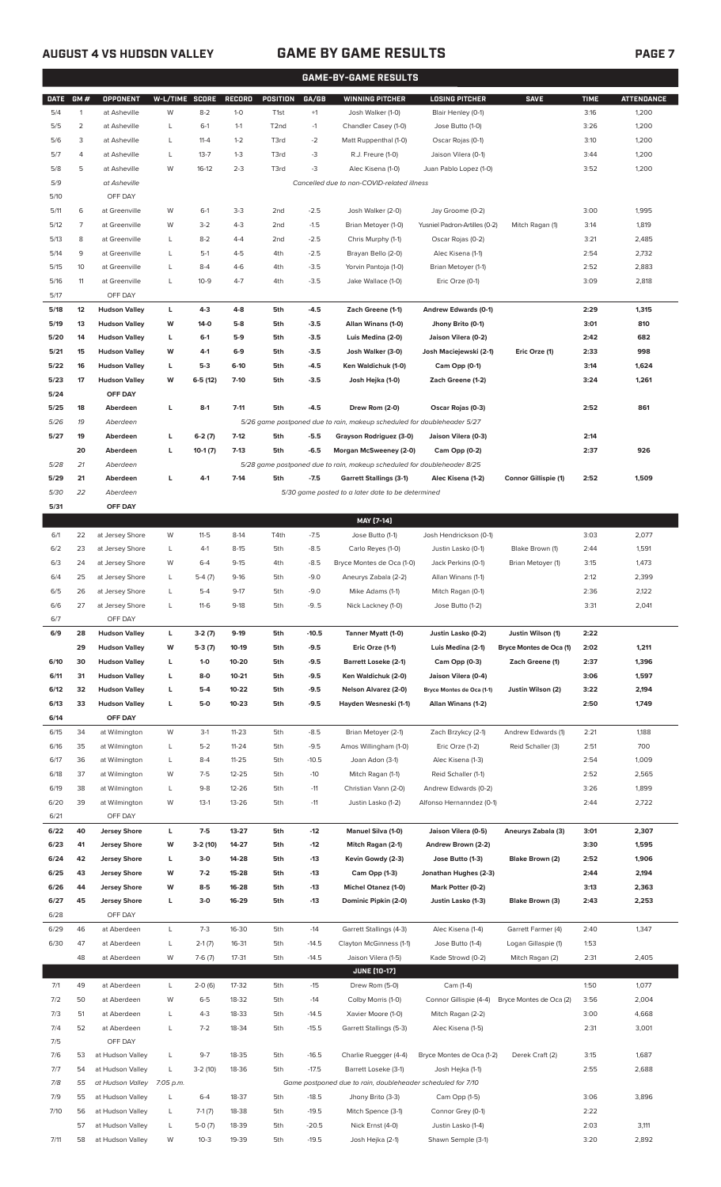## **AUGUST 4 VS HUDSON VALLEY GAME BY GAME RESULTS PAGE 7**

|             | <b>GAME-BY-GAME RESULTS</b> |                          |                |           |               |                   |         |                                                                         |                               |                             |             |                   |
|-------------|-----------------------------|--------------------------|----------------|-----------|---------------|-------------------|---------|-------------------------------------------------------------------------|-------------------------------|-----------------------------|-------------|-------------------|
| <b>DATE</b> | GM#                         | <b>OPPONENT</b>          | W-L/TIME SCORE |           | <b>RECORD</b> | <b>POSITION</b>   | GA/GB   | <b>WINNING PITCHER</b>                                                  | <b>LOSING PITCHER</b>         | <b>SAVE</b>                 | <b>TIME</b> | <b>ATTENDANCE</b> |
| 5/4         | $\mathbf{1}$                | at Asheville             | W              | $8 - 2$   | $1 - 0$       | T <sub>1st</sub>  | $+1$    | Josh Walker (1-0)                                                       | Blair Henley (0-1)            |                             | 3:16        | 1,200             |
| 5/5         | 2                           | at Asheville             | L              | $6-1$     | $1 - 1$       | T <sub>2</sub> nd | $-1$    | Chandler Casey (1-0)                                                    | Jose Butto (1-0)              |                             | 3:26        | 1,200             |
| 5/6         | 3                           | at Asheville             | L              | $11 - 4$  | $1 - 2$       | T3rd              | $-2$    | Matt Ruppenthal (1-0)                                                   | Oscar Rojas (0-1)             |                             | 3:10        | 1,200             |
| 5/7         | 4                           | at Asheville             | L              | $13 - 7$  | $1 - 3$       | T3rd              | -3      | R.J. Freure (1-0)                                                       | Jaison Vilera (0-1)           |                             | 3:44        | 1,200             |
| 5/8         | 5                           | at Asheville             | W              | $16-12$   | $2 - 3$       | T3rd              | -3      | Alec Kisena (1-0)                                                       | Juan Pablo Lopez (1-0)        |                             | 3:52        | 1,200             |
| 5/9         |                             | at Asheville             |                |           |               |                   |         | Cancelled due to non-COVID-related illness                              |                               |                             |             |                   |
| 5/10        |                             | OFF DAY                  |                |           |               |                   |         |                                                                         |                               |                             |             |                   |
| 5/11        | 6                           | at Greenville            | W              | $6-1$     | $3-3$         | 2 <sub>nd</sub>   | $-2.5$  | Josh Walker (2-0)                                                       | Jay Groome (0-2)              |                             | 3:00        | 1,995             |
| 5/12        | 7                           | at Greenville            | W              | $3-2$     | $4 - 3$       | 2 <sub>nd</sub>   | $-1.5$  | Brian Metoyer (1-0)                                                     | Yusniel Padron-Artilles (0-2) | Mitch Ragan (1)             | 3:14        | 1,819             |
| 5/13        | 8                           | at Greenville            | L              | $8 - 2$   | $4 - 4$       | 2 <sub>nd</sub>   | $-2.5$  | Chris Murphy (1-1)                                                      | Oscar Rojas (0-2)             |                             | 3:21        | 2,485             |
| 5/14        | 9                           | at Greenville            | L              | $5-1$     | $4 - 5$       | 4th               | $-2.5$  | Brayan Bello (2-0)                                                      | Alec Kisena (1-1)             |                             | 2:54        | 2,732             |
| 5/15        | 10                          | at Greenville            | L              | $8 - 4$   | $4-6$         | 4th               | $-3.5$  |                                                                         |                               |                             | 2:52        | 2,883             |
| 5/16        |                             |                          | L              | $10-9$    | $4 - 7$       |                   | $-3.5$  | Yorvin Pantoja (1-0)                                                    | Brian Metoyer (1-1)           |                             |             |                   |
| 5/17        | 11                          | at Greenville<br>OFF DAY |                |           |               | 4th               |         | Jake Wallace (1-0)                                                      | Eric Orze (0-1)               |                             | 3:09        | 2,818             |
|             |                             |                          |                |           |               |                   |         |                                                                         |                               |                             |             |                   |
| 5/18        | 12                          | <b>Hudson Valley</b>     | L              | 4-3       | 4-8           | 5th               | $-4.5$  | Zach Greene (1-1)                                                       | Andrew Edwards (0-1)          |                             | 2:29        | 1,315             |
| 5/19        | 13                          | <b>Hudson Valley</b>     | W              | 14-0      | $5-8$         | 5th               | $-3.5$  | Allan Winans (1-0)                                                      | Jhony Brito (0-1)             |                             | 3:01        | 810               |
| 5/20        | 14                          | <b>Hudson Valley</b>     | L              | $6-1$     | $5-9$         | 5th               | $-3.5$  | Luis Medina (2-0)                                                       | Jaison Vilera (0-2)           |                             | 2:42        | 682               |
| 5/21        | 15                          | <b>Hudson Valley</b>     | W              | $4-1$     | $6-9$         | 5th               | $-3.5$  | Josh Walker (3-0)                                                       | Josh Maciejewski (2-1)        | Eric Orze (1)               | 2:33        | 998               |
| 5/22        | 16                          | <b>Hudson Valley</b>     | L              | $5-3$     | $6-10$        | 5th               | $-4.5$  | Ken Waldichuk (1-0)                                                     | Cam Opp (0-1)                 |                             | 3:14        | 1,624             |
| 5/23        | 17                          | <b>Hudson Valley</b>     | W              | $6-5(12)$ | $7-10$        | 5th               | $-3.5$  | Josh Hejka (1-0)                                                        | Zach Greene (1-2)             |                             | 3:24        | 1,261             |
| 5/24        |                             | OFF DAY                  |                |           |               |                   |         |                                                                         |                               |                             |             |                   |
| 5/25        | 18                          | Aberdeen                 | г              | $8-1$     | $7 - 11$      | 5th               | $-4.5$  | Drew Rom (2-0)                                                          | Oscar Rojas (0-3)             |                             | 2:52        | 861               |
| 5/26        | 19                          | Aberdeen                 |                |           |               |                   |         | 5/26 game postponed due to rain, makeup scheduled for doubleheader 5/27 |                               |                             |             |                   |
| 5/27        | 19                          | Aberdeen                 | г              | $6-2(7)$  | $7-12$        | 5th               | $-5.5$  | Grayson Rodriguez (3-0)                                                 | Jaison Vilera (0-3)           |                             | 2:14        |                   |
|             | 20                          | Aberdeen                 | г              | $10-1(7)$ | $7-13$        | 5th               | $-6.5$  | Morgan McSweeney (2-0)                                                  | Cam Opp (0-2)                 |                             | 2:37        | 926               |
| 5/28        | 21                          | Aberdeen                 |                |           |               |                   |         | 5/28 game postponed due to rain, makeup scheduled for doubleheader 8/25 |                               |                             |             |                   |
| 5/29        | 21                          | Aberdeen                 | г              | $4-1$     | $7-14$        | 5th               | $-7.5$  | <b>Garrett Stallings (3-1)</b>                                          | Alec Kisena (1-2)             | <b>Connor Gillispie (1)</b> | 2:52        | 1,509             |
| 5/30        | 22                          | Aberdeen                 |                |           |               |                   |         | 5/30 game posted to a later date to be determined                       |                               |                             |             |                   |
| 5/31        |                             | OFF DAY                  |                |           |               |                   |         |                                                                         |                               |                             |             |                   |
|             |                             |                          |                |           |               |                   |         | MAY [7-14]                                                              |                               |                             |             |                   |
| 6/1         | 22                          | at Jersey Shore          | W              | $11-5$    | $8-14$        | T4th              | $-7.5$  | Jose Butto (1-1)                                                        | Josh Hendrickson (0-1)        |                             | 3:03        | 2,077             |
| 6/2         | 23                          | at Jersey Shore          | L              | $4-1$     | $8 - 15$      | 5th               | $-8.5$  | Carlo Reyes (1-0)                                                       | Justin Lasko (0-1)            | Blake Brown (1)             | 2:44        | 1,591             |
| 6/3         | 24                          | at Jersey Shore          | W              | $6 - 4$   | $9 - 15$      | 4th               | $-8.5$  | Bryce Montes de Oca (1-0)                                               | Jack Perkins (0-1)            | Brian Metoyer (1)           | 3:15        | 1,473             |
| 6/4         | 25                          | at Jersey Shore          | L              | $5-4(7)$  | $9-16$        | 5th               | $-9.0$  | Aneurys Zabala (2-2)                                                    | Allan Winans (1-1)            |                             | 2:12        | 2,399             |
| 6/5         | 26                          | at Jersey Shore          | L              | $5 - 4$   | $9 - 17$      | 5th               | $-9.0$  | Mike Adams (1-1)                                                        | Mitch Ragan (0-1)             |                             | 2:36        | 2,122             |
| 6/6         | 27                          | at Jersey Shore          | L              | $11-6$    | $9-18$        | 5th               | $-9.5$  | Nick Lackney (1-0)                                                      | Jose Butto (1-2)              |                             | 3:31        | 2,041             |
| 6/7         |                             | OFF DAY                  |                |           |               |                   |         |                                                                         |                               |                             |             |                   |
| 6/9         | 28                          | <b>Hudson Valley</b>     | L              | $3-2(7)$  | $9-19$        | 5th               | $-10.5$ | Tanner Myatt (1-0)                                                      | Justin Lasko (0-2)            | Justin Wilson (1)           | 2:22        |                   |
|             | 29                          | <b>Hudson Valley</b>     | W              | $5-3(7)$  | 10-19         | 5th               | $-9.5$  | Eric Orze (1-1)                                                         | Luis Medina (2-1)             | Bryce Montes de Oca (1)     | 2:02        | 1,211             |
| 6/10        | 30                          | <b>Hudson Valley</b>     | L              | $1 - 0$   | 10-20         | 5th               | $-9.5$  | <b>Barrett Loseke (2-1)</b>                                             | Cam Opp (0-3)                 | Zach Greene (1)             | 2:37        | 1,396             |
| 6/11        | 31                          | <b>Hudson Valley</b>     | L              | $8-0$     | $10 - 21$     | 5th               | $-9.5$  | Ken Waldichuk (2-0)                                                     | Jaison Vilera (0-4)           |                             | 3:06        | 1,597             |
| 6/12        | 32                          | <b>Hudson Valley</b>     | L              | $5 - 4$   | 10-22         | 5th               | $-9.5$  | <b>Nelson Alvarez (2-0)</b>                                             | Bryce Montes de Oca (1-1)     | Justin Wilson (2)           | 3:22        | 2,194             |
| 6/13        | 33                          | <b>Hudson Valley</b>     | L              | $5-0$     | $10 - 23$     | 5th               | $-9.5$  | Hayden Wesneski (1-1)                                                   | Allan Winans (1-2)            |                             | 2:50        | 1,749             |
| 6/14        |                             | OFF DAY                  |                |           |               |                   |         |                                                                         |                               |                             |             |                   |
| 6/15        | 34                          | at Wilmington            | W              | $3-1$     | $11 - 23$     | 5th               | $-8.5$  | Brian Metoyer (2-1)                                                     | Zach Brzykcy (2-1)            | Andrew Edwards (1)          | 2:21        | 1,188             |
| 6/16        | 35                          | at Wilmington            | L              | $5 - 2$   | $11 - 24$     | 5th               | $-9.5$  | Amos Willingham (1-0)                                                   | Eric Orze (1-2)               | Reid Schaller (3)           | 2:51        | 700               |
| 6/17        | 36                          | at Wilmington            | L              | $8 - 4$   | $11 - 25$     | 5th               | $-10.5$ | Joan Adon (3-1)                                                         | Alec Kisena (1-3)             |                             | 2:54        | 1,009             |
| 6/18        | 37                          | at Wilmington            | W              | $7 - 5$   | $12 - 25$     | 5th               | $-10$   | Mitch Ragan (1-1)                                                       | Reid Schaller (1-1)           |                             | 2:52        | 2,565             |
| 6/19        | 38                          | at Wilmington            | L              | $9 - 8$   | $12 - 26$     | 5th               | $-11$   | Christian Vann (2-0)                                                    | Andrew Edwards (0-2)          |                             | 3:26        | 1,899             |
| 6/20        | 39                          | at Wilmington            | W              | $13-1$    | 13-26         | 5th               | $-11$   | Justin Lasko (1-2)                                                      | Alfonso Hernanndez (0-1)      |                             | 2:44        | 2,722             |
| 6/21        |                             | OFF DAY                  |                |           |               |                   |         |                                                                         |                               |                             |             |                   |
| 6/22        | 40                          | <b>Jersey Shore</b>      | L              | $7 - 5$   | 13-27         | 5th               | -12     | <b>Manuel Silva (1-0)</b>                                               | Jaison Vilera (0-5)           | Aneurys Zabala (3)          | 3:01        | 2,307             |
| 6/23        | 41                          | <b>Jersey Shore</b>      | W              | 3-2 (10)  | 14-27         | 5th               | $-12$   | Mitch Ragan (2-1)                                                       | Andrew Brown (2-2)            |                             | 3:30        | 1,595             |
| 6/24        | 42                          | <b>Jersey Shore</b>      | г              | $3-0$     | 14-28         | 5th               | -13     | Kevin Gowdy (2-3)                                                       | Jose Butto (1-3)              | Blake Brown (2)             | 2:52        | 1,906             |
| 6/25        | 43                          | <b>Jersey Shore</b>      | W              | $7-2$     | 15-28         | 5th               | -13     | Cam Opp (1-3)                                                           | Jonathan Hughes (2-3)         |                             | 2:44        | 2,194             |
| 6/26        | 44                          | <b>Jersey Shore</b>      | W              | $8-5$     | 16-28         | 5th               | -13     | <b>Michel Otanez (1-0)</b>                                              | Mark Potter (0-2)             |                             | 3:13        | 2,363             |
| 6/27        | 45                          | <b>Jersey Shore</b>      | г              | $3-0$     | 16-29         | 5th               | -13     | Dominic Pipkin (2-0)                                                    | Justin Lasko (1-3)            | Blake Brown (3)             | 2:43        | 2,253             |
| 6/28        |                             | OFF DAY                  |                |           |               |                   |         |                                                                         |                               |                             |             |                   |
| 6/29        | 46                          | at Aberdeen              | L              | $7 - 3$   | 16-30         | 5th               | $-14$   | Garrett Stallings (4-3)                                                 | Alec Kisena (1-4)             | Garrett Farmer (4)          | 2:40        | 1,347             |
| 6/30        | 47                          | at Aberdeen              | L              | $2-1(7)$  | 16-31         | 5th               | $-14.5$ | Clayton McGinness (1-1)                                                 | Jose Butto (1-4)              | Logan Gillaspie (1)         | 1:53        |                   |
|             | 48                          | at Aberdeen              | W              | $7-6(7)$  | $17 - 31$     | 5th               | $-14.5$ | Jaison Vilera (1-5)                                                     | Kade Strowd (0-2)             | Mitch Ragan (2)             | 2:31        | 2,405             |
|             |                             |                          |                |           |               |                   |         | <b>JUNE [10-17]</b>                                                     |                               |                             |             |                   |
| 7/1         | 49                          | at Aberdeen              | L              | $2-0(6)$  | 17-32         | 5th               | $-15$   | Drew Rom (5-0)                                                          | Cam (1-4)                     |                             | 1:50        | 1,077             |
| 7/2         | 50                          | at Aberdeen              | W              | $6-5$     | 18-32         | 5th               | $-14$   | Colby Morris (1-0)                                                      | Connor Gillispie (4-4)        | Bryce Montes de Oca (2)     | 3:56        | 2,004             |
| 7/3         | 51                          | at Aberdeen              | L              | $4 - 3$   | 18-33         | 5th               | $-14.5$ | Xavier Moore (1-0)                                                      | Mitch Ragan (2-2)             |                             | 3:00        | 4,668             |
| 7/4         | 52                          | at Aberdeen              | L              | $7 - 2$   | 18-34         | 5th               | $-15.5$ | Garrett Stallings (5-3)                                                 | Alec Kisena (1-5)             |                             | 2:31        | 3,001             |
| 7/5         |                             | OFF DAY                  |                |           |               |                   |         |                                                                         |                               |                             |             |                   |
| 7/6         | 53                          | at Hudson Valley         | L              | $9 - 7$   | 18-35         | 5th               | $-16.5$ | Charlie Ruegger (4-4)                                                   | Bryce Montes de Oca (1-2)     | Derek Craft (2)             | 3:15        | 1,687             |
| 7/7         | 54                          | at Hudson Valley         | L              | $3-2(10)$ | 18-36         | 5th               | $-17.5$ | Barrett Loseke (3-1)                                                    | Josh Hejka (1-1)              |                             | 2:55        | 2,688             |
| 7/8         | 55                          | at Hudson Valley         | 7:05 p.m.      |           |               |                   |         | Game postponed due to rain, doubleheader scheduled for 7/10             |                               |                             |             |                   |
| 7/9         | 55                          | at Hudson Valley         | L              | $6 - 4$   | 18-37         | 5th               | $-18.5$ | Jhony Brito (3-3)                                                       | Cam Opp (1-5)                 |                             | 3:06        | 3,896             |
| 7/10        | 56                          | at Hudson Valley         | L              | $7-1(7)$  | 18-38         | 5th               | $-19.5$ | Mitch Spence (3-1)                                                      | Connor Grey (0-1)             |                             | 2:22        |                   |
|             | 57                          | at Hudson Valley         | L              | $5-0(7)$  | 18-39         | 5th               | $-20.5$ | Nick Ernst (4-0)                                                        | Justin Lasko (1-4)            |                             | 2:03        | 3,111             |

7/11 58 at Hudson Valley W 10-3 19-39 5th -19.5 Josh Hejka (2-1) Shawn Semple (3-1) 3:20 2,892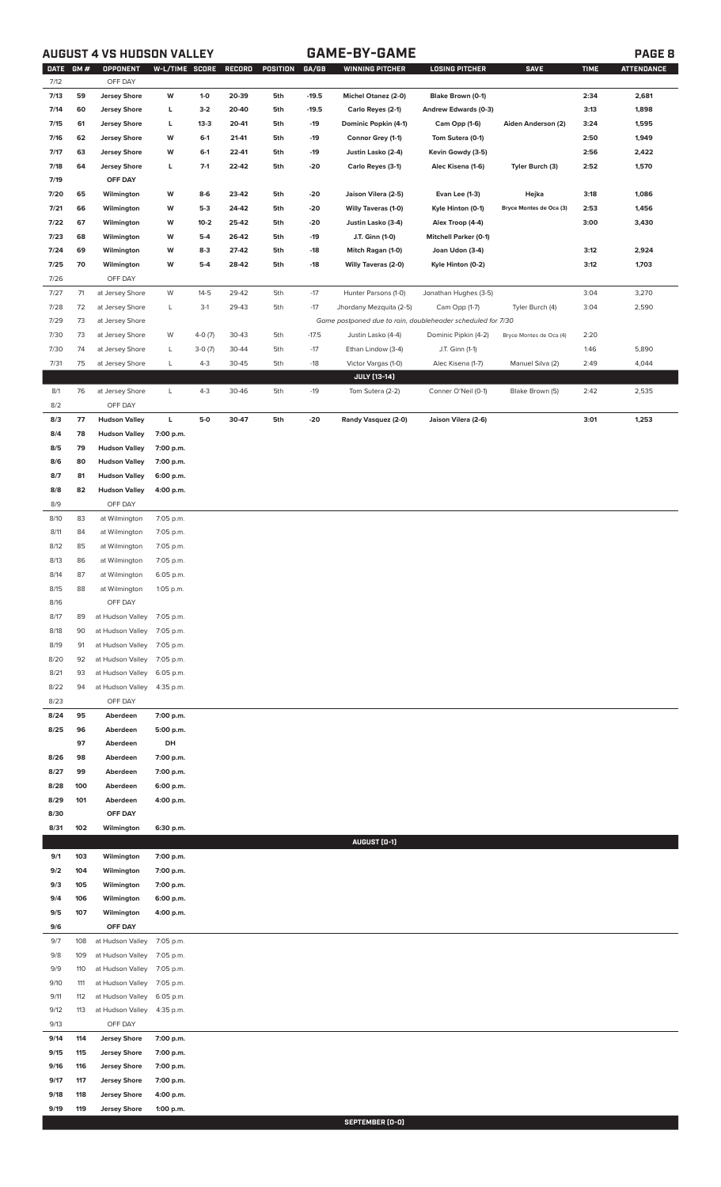## **AUGUST 4 VS HUDSON VALLEY GAME-BY-GAME PAGE 8**

| DATE GM# |     | OPPONENT             | W-L/TIME SCORE RECORD |          |       | POSITION | GA/GB   | <b>WINNING PITCHER</b>                                      | <b>LOSING PITCHER</b>        | <b>SAVE</b>             | <b>TIME</b> | <b>ATTENDANCE</b> |
|----------|-----|----------------------|-----------------------|----------|-------|----------|---------|-------------------------------------------------------------|------------------------------|-------------------------|-------------|-------------------|
| 7/12     |     | OFF DAY              |                       |          |       |          |         |                                                             |                              |                         |             |                   |
| 7/13     | 59  | <b>Jersey Shore</b>  | W                     | $1-0$    | 20-39 | 5th      | $-19.5$ | Michel Otanez (2-0)                                         | Blake Brown (0-1)            |                         | 2:34        | 2,681             |
| 7/14     | 60  | <b>Jersey Shore</b>  | г                     | $3-2$    | 20-40 | 5th      | $-19.5$ | Carlo Reyes (2-1)                                           | Andrew Edwards (0-3)         |                         | 3:13        | 1,898             |
| 7/15     | 61  | <b>Jersey Shore</b>  | г                     | $13-3$   | 20-41 | 5th      | $-19$   | Dominic Popkin (4-1)                                        | Cam Opp (1-6)                | Aiden Anderson (2)      | 3:24        | 1,595             |
| 7/16     | 62  | <b>Jersey Shore</b>  | W                     | $6-1$    | 21-41 | 5th      | $-19$   | Connor Grey (1-1)                                           | Tom Sutera (0-1)             |                         | 2:50        | 1,949             |
| 7/17     | 63  | <b>Jersey Shore</b>  | W                     | $6-1$    | 22-41 | 5th      | $-19$   | Justin Lasko (2-4)                                          | Kevin Gowdy (3-5)            |                         | 2:56        | 2,422             |
| 7/18     | 64  | <b>Jersey Shore</b>  | г                     | $7-1$    | 22-42 | 5th      | $-20$   | Carlo Reyes (3-1)                                           | Alec Kisena (1-6)            | Tyler Burch (3)         | 2:52        | 1,570             |
| 7/19     |     | OFF DAY              |                       |          |       |          |         |                                                             |                              |                         |             |                   |
|          |     |                      |                       |          |       |          |         |                                                             |                              |                         |             |                   |
| 7/20     | 65  | Wilmington           | W                     | $8-6$    | 23-42 | 5th      | $-20$   | Jaison Vilera (2-5)                                         | <b>Evan Lee (1-3)</b>        | Hejka                   | 3:18        | 1,086             |
| 7/21     | 66  | Wilmington           | W                     | $5-3$    | 24-42 | 5th      | $-20$   | Willy Taveras (1-0)                                         | Kyle Hinton (0-1)            | Bryce Montes de Oca (3) | 2:53        | 1,456             |
| 7/22     | 67  | Wilmington           | W                     | $10 - 2$ | 25-42 | 5th      | $-20$   | Justin Lasko (3-4)                                          | Alex Troop (4-4)             |                         | 3:00        | 3,430             |
| 7/23     | 68  | Wilmington           | W                     | $5-4$    | 26-42 | 5th      | $-19$   | J.T. Ginn (1-0)                                             | <b>Mitchell Parker (0-1)</b> |                         |             |                   |
| 7/24     | 69  | Wilmington           | W                     | $8-3$    | 27-42 | 5th      | $-18$   | Mitch Ragan (1-0)                                           | Joan Udon (3-4)              |                         | 3:12        | 2,924             |
| 7/25     | 70  | Wilmington           | W                     | $5-4$    | 28-42 | 5th      | $-18$   | <b>Willy Taveras (2-0)</b>                                  | Kyle Hinton (0-2)            |                         | 3:12        | 1,703             |
| 7/26     |     | OFF DAY              |                       |          |       |          |         |                                                             |                              |                         |             |                   |
| 7/27     | 71  | at Jersey Shore      | W                     | $14-5$   | 29-42 | 5th      | $-17$   | Hunter Parsons (1-0)                                        | Jonathan Hughes (3-5)        |                         | 3:04        | 3,270             |
| 7/28     | 72  | at Jersey Shore      | L                     | $3-1$    | 29-43 | 5th      | $-17$   | Jhordany Mezquita (2-5)                                     | Cam Opp (1-7)                | Tyler Burch (4)         | 3:04        | 2,590             |
| 7/29     | 73  | at Jersey Shore      |                       |          |       |          |         | Game postponed due to rain, doubleheader scheduled for 7/30 |                              |                         |             |                   |
|          |     |                      |                       |          |       |          |         |                                                             |                              |                         |             |                   |
| 7/30     | 73  | at Jersey Shore      | W                     | $4-0(7)$ | 30-43 | 5th      | $-17.5$ | Justin Lasko (4-4)                                          | Dominic Pipkin (4-2)         | Bryce Montes de Oca (4) | 2:20        |                   |
| 7/30     | 74  | at Jersey Shore      | L                     | $3-0(7)$ | 30-44 | 5th      | $-17$   | Ethan Lindow (3-4)                                          | J.T. Ginn (1-1)              |                         | 1:46        | 5,890             |
| 7/31     | 75  | at Jersey Shore      | L                     | $4 - 3$  | 30-45 | 5th      | $-18$   | Victor Vargas (1-0)                                         | Alec Kisena (1-7)            | Manuel Silva (2)        | 2:49        | 4,044             |
|          |     |                      |                       |          |       |          |         | <b>JULY [13-14]</b>                                         |                              |                         |             |                   |
| 8/1      | 76  | at Jersey Shore      | L                     | $4 - 3$  | 30-46 | 5th      | $-19$   | Tom Sutera (2-2)                                            | Conner O'Neil (0-1)          | Blake Brown (5)         | 2:42        | 2,535             |
| 8/2      |     | OFF DAY              |                       |          |       |          |         |                                                             |                              |                         |             |                   |
| 8/3      | 77  | <b>Hudson Valley</b> | Г                     | $5-0$    | 30-47 | 5th      | $-20$   | Randy Vasquez (2-0)                                         | Jaison Vilera (2-6)          |                         | 3:01        | 1,253             |
| 8/4      | 78  | <b>Hudson Valley</b> | 7:00 p.m.             |          |       |          |         |                                                             |                              |                         |             |                   |
| 8/5      | 79  | <b>Hudson Valley</b> | 7:00 p.m.             |          |       |          |         |                                                             |                              |                         |             |                   |
|          |     |                      |                       |          |       |          |         |                                                             |                              |                         |             |                   |
| 8/6      | 80  | <b>Hudson Valley</b> | 7:00 p.m.             |          |       |          |         |                                                             |                              |                         |             |                   |
| 8/7      | 81  | <b>Hudson Valley</b> | 6:00 p.m.             |          |       |          |         |                                                             |                              |                         |             |                   |
| 8/8      | 82  | <b>Hudson Valley</b> | 4:00 p.m.             |          |       |          |         |                                                             |                              |                         |             |                   |
| 8/9      |     | OFF DAY              |                       |          |       |          |         |                                                             |                              |                         |             |                   |
| 8/10     | 83  | at Wilmington        | 7:05 p.m.             |          |       |          |         |                                                             |                              |                         |             |                   |
| 8/11     | 84  | at Wilmington        | 7:05 p.m.             |          |       |          |         |                                                             |                              |                         |             |                   |
| 8/12     | 85  | at Wilmington        | 7:05 p.m.             |          |       |          |         |                                                             |                              |                         |             |                   |
| 8/13     | 86  | at Wilmington        | 7:05 p.m.             |          |       |          |         |                                                             |                              |                         |             |                   |
| 8/14     | 87  | at Wilmington        | 6:05 p.m.             |          |       |          |         |                                                             |                              |                         |             |                   |
|          |     |                      |                       |          |       |          |         |                                                             |                              |                         |             |                   |
| 8/15     | 88  | at Wilmington        | 1:05 p.m.             |          |       |          |         |                                                             |                              |                         |             |                   |
| 8/16     |     | OFF DAY              |                       |          |       |          |         |                                                             |                              |                         |             |                   |
| 8/17     | 89  | at Hudson Valley     | 7:05 p.m.             |          |       |          |         |                                                             |                              |                         |             |                   |
| 8/18     | 90  | at Hudson Valley     | 7:05 p.m.             |          |       |          |         |                                                             |                              |                         |             |                   |
| 8/19     | 91  | at Hudson Valley     | 7:05 p.m.             |          |       |          |         |                                                             |                              |                         |             |                   |
| 8/20     | 92  | at Hudson Valley     | 7:05 p.m.             |          |       |          |         |                                                             |                              |                         |             |                   |
| 8/21     | 93  | at Hudson Valley     | 6:05 p.m.             |          |       |          |         |                                                             |                              |                         |             |                   |
| 8/22     | 94  | at Hudson Valley     | 4:35 p.m.             |          |       |          |         |                                                             |                              |                         |             |                   |
| 8/23     |     | OFF DAY              |                       |          |       |          |         |                                                             |                              |                         |             |                   |
|          |     |                      |                       |          |       |          |         |                                                             |                              |                         |             |                   |
| 8/24     | 95  | Aberdeen             | 7:00 p.m.             |          |       |          |         |                                                             |                              |                         |             |                   |
| 8/25     | 96  | Aberdeen             | 5:00 p.m.             |          |       |          |         |                                                             |                              |                         |             |                   |
|          | 97  | Aberdeen             | DH                    |          |       |          |         |                                                             |                              |                         |             |                   |
| 8/26     | 98  | Aberdeen             | 7:00 p.m.             |          |       |          |         |                                                             |                              |                         |             |                   |
| 8/27     | 99  | Aberdeen             | 7:00 p.m.             |          |       |          |         |                                                             |                              |                         |             |                   |
| 8/28     | 100 | Aberdeen             | 6:00 p.m.             |          |       |          |         |                                                             |                              |                         |             |                   |
| 8/29     | 101 | Aberdeen             | 4:00 p.m.             |          |       |          |         |                                                             |                              |                         |             |                   |
| 8/30     |     | OFF DAY              |                       |          |       |          |         |                                                             |                              |                         |             |                   |
| 8/31     | 102 | Wilmington           | 6:30 p.m.             |          |       |          |         |                                                             |                              |                         |             |                   |
|          |     |                      |                       |          |       |          |         | AUGUST (0-1)                                                |                              |                         |             |                   |
|          |     |                      |                       |          |       |          |         |                                                             |                              |                         |             |                   |
| 9/1      | 103 | Wilmington           | 7:00 p.m.             |          |       |          |         |                                                             |                              |                         |             |                   |
| 9/2      | 104 | Wilmington           | 7:00 p.m.             |          |       |          |         |                                                             |                              |                         |             |                   |
| 9/3      | 105 | Wilmington           | 7:00 p.m.             |          |       |          |         |                                                             |                              |                         |             |                   |
| 9/4      | 106 | Wilmington           | 6:00 p.m.             |          |       |          |         |                                                             |                              |                         |             |                   |
| 9/5      | 107 | Wilmington           | 4:00 p.m.             |          |       |          |         |                                                             |                              |                         |             |                   |
| 9/6      |     | OFF DAY              |                       |          |       |          |         |                                                             |                              |                         |             |                   |
| 9/7      | 108 | at Hudson Valley     | 7:05 p.m.             |          |       |          |         |                                                             |                              |                         |             |                   |
| 9/8      | 109 | at Hudson Valley     | 7:05 p.m.             |          |       |          |         |                                                             |                              |                         |             |                   |
|          | 110 |                      | 7:05 p.m.             |          |       |          |         |                                                             |                              |                         |             |                   |
| 9/9      |     | at Hudson Valley     |                       |          |       |          |         |                                                             |                              |                         |             |                   |
| 9/10     | 111 | at Hudson Valley     | 7:05 p.m.             |          |       |          |         |                                                             |                              |                         |             |                   |
| 9/11     | 112 | at Hudson Valley     | 6:05 p.m.             |          |       |          |         |                                                             |                              |                         |             |                   |
| 9/12     | 113 | at Hudson Valley     | 4:35 p.m.             |          |       |          |         |                                                             |                              |                         |             |                   |
| 9/13     |     | OFF DAY              |                       |          |       |          |         |                                                             |                              |                         |             |                   |
| 9/14     | 114 | <b>Jersey Shore</b>  | 7:00 p.m.             |          |       |          |         |                                                             |                              |                         |             |                   |
| 9/15     | 115 | <b>Jersey Shore</b>  | 7:00 p.m.             |          |       |          |         |                                                             |                              |                         |             |                   |
| 9/16     | 116 | <b>Jersey Shore</b>  | 7:00 p.m.             |          |       |          |         |                                                             |                              |                         |             |                   |
| 9/17     | 117 | <b>Jersey Shore</b>  | 7:00 p.m.             |          |       |          |         |                                                             |                              |                         |             |                   |
| 9/18     | 118 | <b>Jersey Shore</b>  | 4:00 p.m.             |          |       |          |         |                                                             |                              |                         |             |                   |
|          |     |                      |                       |          |       |          |         |                                                             |                              |                         |             |                   |
| 9/19     | 119 | <b>Jersey Shore</b>  | 1:00 p.m.             |          |       |          |         |                                                             |                              |                         |             |                   |

**SEPTEMBER (0-0)**